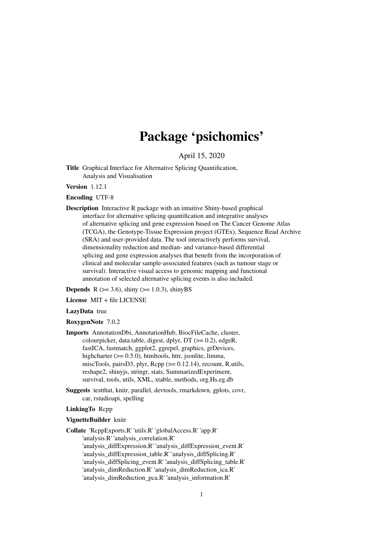# Package 'psichomics'

April 15, 2020

<span id="page-0-0"></span>Title Graphical Interface for Alternative Splicing Quantification, Analysis and Visualisation

Version 1.12.1

Encoding UTF-8

Description Interactive R package with an intuitive Shiny-based graphical interface for alternative splicing quantification and integrative analyses of alternative splicing and gene expression based on The Cancer Genome Atlas (TCGA), the Genotype-Tissue Expression project (GTEx), Sequence Read Archive (SRA) and user-provided data. The tool interactively performs survival, dimensionality reduction and median- and variance-based differential splicing and gene expression analyses that benefit from the incorporation of clinical and molecular sample-associated features (such as tumour stage or survival). Interactive visual access to genomic mapping and functional annotation of selected alternative splicing events is also included.

**Depends** R ( $>= 3.6$ ), shiny ( $>= 1.0.3$ ), shinyBS

License MIT + file LICENSE

#### LazyData true

#### RoxygenNote 7.0.2

- Imports AnnotationDbi, AnnotationHub, BiocFileCache, cluster, colourpicker, data.table, digest, dplyr,  $DT$  ( $>= 0.2$ ), edgeR, fastICA, fastmatch, ggplot2, ggrepel, graphics, grDevices, highcharter ( $> = 0.5.0$ ), htmltools, httr, jsonlite, limma, miscTools, pairsD3, plyr,  $\text{Rcpp} (> = 0.12.14)$ , recount, R.utils, reshape2, shinyjs, stringr, stats, SummarizedExperiment, survival, tools, utils, XML, xtable, methods, org.Hs.eg.db
- Suggests testthat, knitr, parallel, devtools, rmarkdown, gplots, covr, car, rstudioapi, spelling

# LinkingTo Rcpp

#### VignetteBuilder knitr

Collate 'RcppExports.R' 'utils.R' 'globalAccess.R' 'app.R' 'analysis.R' 'analysis\_correlation.R' 'analysis\_diffExpression.R' 'analysis\_diffExpression\_event.R' 'analysis\_diffExpression\_table.R' 'analysis\_diffSplicing.R' 'analysis\_diffSplicing\_event.R' 'analysis\_diffSplicing\_table.R' 'analysis\_dimReduction.R' 'analysis\_dimReduction\_ica.R' 'analysis\_dimReduction\_pca.R' 'analysis\_information.R'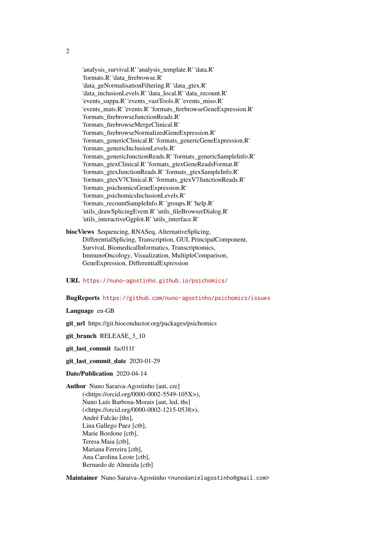'analysis\_survival.R' 'analysis\_template.R' 'data.R' 'formats.R' 'data\_firebrowse.R' 'data\_geNormalisationFiltering.R' 'data\_gtex.R' 'data\_inclusionLevels.R' 'data\_local.R' 'data\_recount.R' 'events\_suppa.R' 'events\_vastTools.R' 'events\_miso.R' 'events\_mats.R' 'events.R' 'formats\_firebrowseGeneExpression.R' 'formats\_firebrowseJunctionReads.R' 'formats\_firebrowseMergeClinical.R' 'formats\_firebrowseNormalizedGeneExpression.R' 'formats\_genericClinical.R' 'formats\_genericGeneExpression.R' 'formats\_genericInclusionLevels.R' 'formats\_genericJunctionReads.R' 'formats\_genericSampleInfo.R' 'formats\_gtexClinical.R' 'formats\_gtexGeneReadsFormat.R' 'formats\_gtexJunctionReads.R' 'formats\_gtexSampleInfo.R' 'formats\_gtexV7Clinical.R' 'formats\_gtexV7JunctionReads.R' 'formats\_psichomicsGeneExpression.R' 'formats\_psichomicsInclusionLevels.R' 'formats\_recountSampleInfo.R' 'groups.R' 'help.R' 'utils\_drawSplicingEvent.R' 'utils\_fileBrowserDialog.R' 'utils\_interactiveGgplot.R' 'utils\_interface.R'

- biocViews Sequencing, RNASeq, AlternativeSplicing, DifferentialSplicing, Transcription, GUI, PrincipalComponent, Survival, BiomedicalInformatics, Transcriptomics, ImmunoOncology, Visualization, MultipleComparison, GeneExpression, DifferentialExpression
- URL <https://nuno-agostinho.github.io/psichomics/>

# BugReports <https://github.com/nuno-agostinho/psichomics/issues>

Language en-GB

git\_url https://git.bioconductor.org/packages/psichomics

git branch RELEASE 3 10

git\_last\_commit fac011f

git\_last\_commit\_date 2020-01-29

Date/Publication 2020-04-14

Author Nuno Saraiva-Agostinho [aut, cre] (<https://orcid.org/0000-0002-5549-105X>), Nuno Luís Barbosa-Morais [aut, led, ths] (<https://orcid.org/0000-0002-1215-0538>), André Falcão [ths], Lina Gallego Paez [ctb], Marie Bordone [ctb], Teresa Maia [ctb], Mariana Ferreira [ctb], Ana Carolina Leote [ctb], Bernardo de Almeida [ctb]

Maintainer Nuno Saraiva-Agostinho <nunodanielagostinho@gmail.com>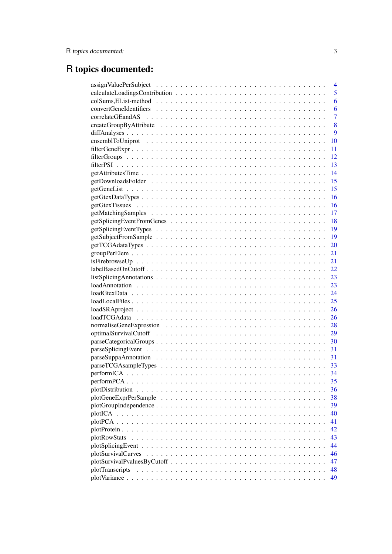# R topics documented:

|                  | 4              |
|------------------|----------------|
|                  | 5              |
|                  | 6              |
|                  | 6              |
|                  | $\overline{7}$ |
|                  | 8              |
|                  | 9              |
|                  | 10             |
|                  | 11             |
|                  | 12             |
|                  | 13             |
|                  | 14             |
|                  | 15             |
|                  | 15             |
|                  | 16             |
|                  | 16             |
|                  | 17             |
|                  | 18             |
|                  | 19             |
|                  | 19             |
|                  | 20             |
|                  | 21             |
|                  | 21             |
|                  | 22             |
|                  | 23             |
|                  | 23             |
|                  | 24             |
|                  | 25             |
|                  | 26             |
|                  | 26             |
|                  | 28             |
|                  | 29             |
|                  |                |
|                  |                |
|                  | 31             |
|                  | 33             |
| performICA.<br>. | 34             |
|                  | 35             |
|                  | 36             |
|                  | 38             |
|                  | 39             |
|                  | 40             |
|                  | 41             |
|                  | 42             |
| plotRowStats     | 43             |
|                  | 44             |
|                  | 46             |
|                  | 47             |
| plotTranscripts  | 48             |
|                  | 49             |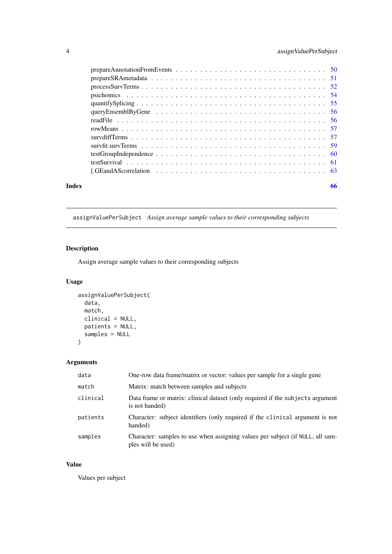# <span id="page-3-0"></span>4 assignValuePerSubject

|       | prepareSRA metadata $\ldots \ldots \ldots \ldots \ldots \ldots \ldots \ldots \ldots \ldots \ldots \ldots$ |  |
|-------|-----------------------------------------------------------------------------------------------------------|--|
|       |                                                                                                           |  |
|       |                                                                                                           |  |
|       |                                                                                                           |  |
|       |                                                                                                           |  |
|       |                                                                                                           |  |
|       |                                                                                                           |  |
|       |                                                                                                           |  |
|       |                                                                                                           |  |
|       |                                                                                                           |  |
|       |                                                                                                           |  |
|       |                                                                                                           |  |
| Index | 66                                                                                                        |  |
|       |                                                                                                           |  |

# <span id="page-3-1"></span>assignValuePerSubject *Assign average sample values to their corresponding subjects*

# Description

Assign average sample values to their corresponding subjects

# Usage

```
assignValuePerSubject(
  data,
  match,
  clinical = NULL,
  patients = NULL,
  samples = NULL
)
```
# Arguments

| data     | One-row data frame/matrix or vector: values per sample for a single gene                             |
|----------|------------------------------------------------------------------------------------------------------|
| match    | Matrix: match between samples and subjects                                                           |
| clinical | Data frame or matrix: clinical dataset (only required if the subjects argument<br>is not handed)     |
| patients | Character: subject identifiers (only required if the clinical argument is not<br>handed)             |
| samples  | Character: samples to use when assigning values per subject (if NULL, all sam-<br>ples will be used) |

# Value

Values per subject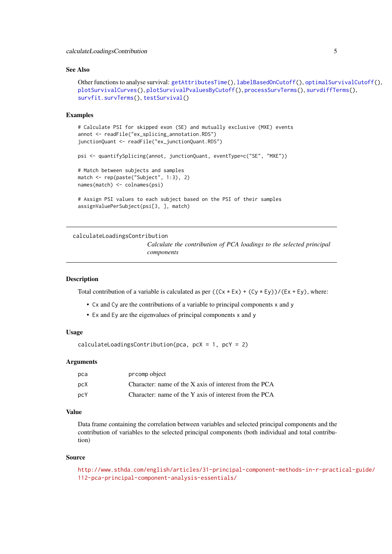#### <span id="page-4-0"></span>calculateLoadingsContribution 5

#### See Also

```
Other functions to analyse survival: getAttributesTime(), labelBasedOnCutoff(), optimalSurvivalCutoff(),
plotSurvivalCurves(), plotSurvivalPvaluesByCutoff(), processSurvTerms(), survdiffTerms(),
survfit.survTerms(), testSurvival()
```
#### Examples

```
# Calculate PSI for skipped exon (SE) and mutually exclusive (MXE) events
annot <- readFile("ex_splicing_annotation.RDS")
junctionQuant <- readFile("ex_junctionQuant.RDS")
psi <- quantifySplicing(annot, junctionQuant, eventType=c("SE", "MXE"))
# Match between subjects and samples
match <- rep(paste("Subject", 1:3), 2)
names(match) <- colnames(psi)
# Assign PSI values to each subject based on the PSI of their samples
assignValuePerSubject(psi[3, ], match)
```
<span id="page-4-1"></span>calculateLoadingsContribution

*Calculate the contribution of PCA loadings to the selected principal components*

#### Description

Total contribution of a variable is calculated as per  $((Cx * Ex) + (Cy * Ey)) / (Ex + Ey)$ , where:

- Cx and Cy are the contributions of a variable to principal components x and y
- Ex and Ey are the eigenvalues of principal components x and y

#### Usage

calculateLoadingsContribution(pca, pcX = 1, pcY = 2)

#### Arguments

| pca | prcomp object                                          |
|-----|--------------------------------------------------------|
| pcX | Character: name of the X axis of interest from the PCA |
| pcY | Character: name of the Y axis of interest from the PCA |

#### Value

Data frame containing the correlation between variables and selected principal components and the contribution of variables to the selected principal components (both individual and total contribution)

#### Source

```
http://www.sthda.com/english/articles/31-principal-component-methods-in-r-practical-guide/
112-pca-principal-component-analysis-essentials/
```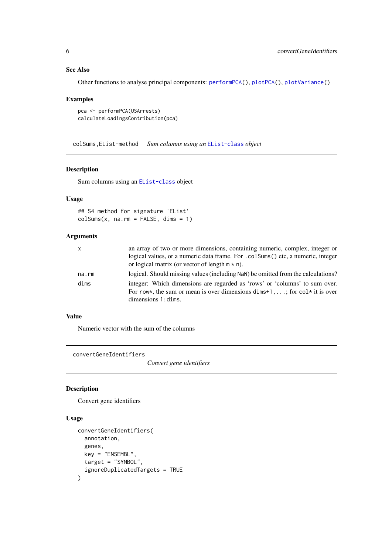# See Also

Other functions to analyse principal components: [performPCA\(](#page-34-1)), [plotPCA\(](#page-40-1)), [plotVariance\(](#page-48-1))

#### Examples

```
pca <- performPCA(USArrests)
calculateLoadingsContribution(pca)
```
colSums,EList-method *Sum columns using an* [EList-class](#page-0-0) *object*

#### Description

Sum columns using an [EList-class](#page-0-0) object

# Usage

## S4 method for signature 'EList'  $colSums(x, na.rm = FALSE, dims = 1)$ 

#### Arguments

| $\mathsf{x}$ | an array of two or more dimensions, containing numeric, complex, integer or<br>logical values, or a numeric data frame. For .colSums() etc, a numeric, integer<br>or logical matrix (or vector of length $m * n$ ). |
|--------------|---------------------------------------------------------------------------------------------------------------------------------------------------------------------------------------------------------------------|
| na.rm        | logical. Should missing values (including NaN) be omitted from the calculations?                                                                                                                                    |
| dims         | integer: Which dimensions are regarded as 'rows' or 'columns' to sum over.<br>For row*, the sum or mean is over dimensions dims+1, ; for col* it is over<br>$dimensions 1: \text{dim}s.$                            |

# Value

Numeric vector with the sum of the columns

<span id="page-5-1"></span>convertGeneIdentifiers

*Convert gene identifiers*

# Description

Convert gene identifiers

```
convertGeneIdentifiers(
  annotation,
  genes,
  key = "ENSEMBL",
  target = "SYMBOL",
  ignoreDuplicatedTargets = TRUE
)
```
<span id="page-5-0"></span>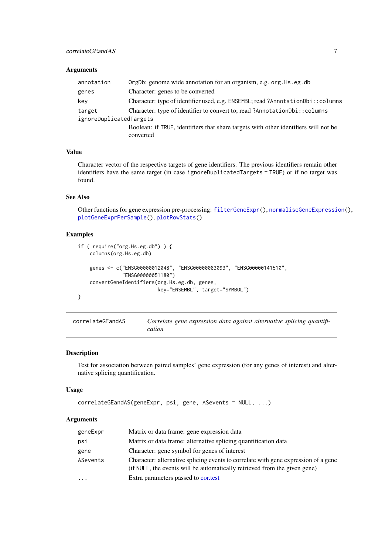# <span id="page-6-0"></span>Arguments

| annotation              | OrgDb: genome wide annotation for an organism, e.g. org. Hs. eg. db                 |
|-------------------------|-------------------------------------------------------------------------------------|
| genes                   | Character: genes to be converted                                                    |
| key                     | Character: type of identifier used, e.g. ENSEMBL; read ?AnnotationDbi:: columns     |
| target                  | Character: type of identifier to convert to; read ?AnnotationDbi:: columns          |
| ignoreDuplicatedTargets |                                                                                     |
|                         | Boolean: if TRUE, identifiers that share targets with other identifiers will not be |
|                         | converted                                                                           |

# Value

Character vector of the respective targets of gene identifiers. The previous identifiers remain other identifiers have the same target (in case ignoreDuplicatedTargets = TRUE) or if no target was found.

#### See Also

Other functions for gene expression pre-processing: [filterGeneExpr\(](#page-10-1)), [normaliseGeneExpression\(](#page-27-1)), [plotGeneExprPerSample\(](#page-37-1)), [plotRowStats\(](#page-42-1))

### Examples

```
if ( require("org.Hs.eg.db") ) {
    columns(org.Hs.eg.db)
    genes <- c("ENSG00000012048", "ENSG00000083093", "ENSG00000141510",
               "ENSG00000051180")
    convertGeneIdentifiers(org.Hs.eg.db, genes,
                           key="ENSEMBL", target="SYMBOL")
}
```
<span id="page-6-1"></span>

| correlateGEandAS | Correlate gene expression data against alternative splicing quantifi- |  |  |  |
|------------------|-----------------------------------------------------------------------|--|--|--|
|                  | cation                                                                |  |  |  |

#### Description

Test for association between paired samples' gene expression (for any genes of interest) and alternative splicing quantification.

# Usage

```
correlateGEandAS(geneExpr, psi, gene, ASevents = NULL, ...)
```
#### Arguments

| geneExpr | Matrix or data frame: gene expression data                                                                                                                      |
|----------|-----------------------------------------------------------------------------------------------------------------------------------------------------------------|
| psi      | Matrix or data frame: alternative splicing quantification data                                                                                                  |
| gene     | Character: gene symbol for genes of interest                                                                                                                    |
| ASevents | Character: alternative splicing events to correlate with gene expression of a gene<br>(if NULL, the events will be automatically retrieved from the given gene) |
| $\cdots$ | Extra parameters passed to cortest                                                                                                                              |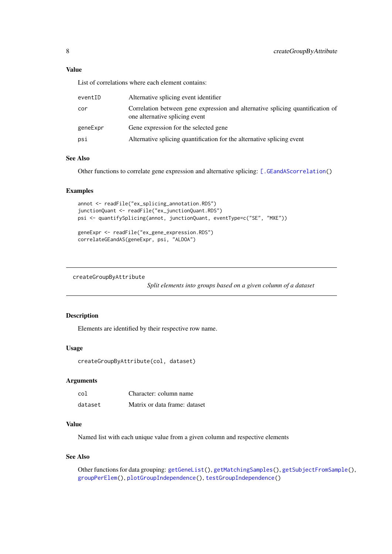#### <span id="page-7-0"></span>Value

List of correlations where each element contains:

| eventID  | Alternative splicing event identifier                                                                            |
|----------|------------------------------------------------------------------------------------------------------------------|
| cor      | Correlation between gene expression and alternative splicing quantification of<br>one alternative splicing event |
| geneExpr | Gene expression for the selected gene                                                                            |
| psi      | Alternative splicing quantification for the alternative splicing event                                           |

#### See Also

Other functions to correlate gene expression and alternative splicing: [\[.GEandAScorrelation\(](#page-62-1))

#### Examples

```
annot <- readFile("ex_splicing_annotation.RDS")
junctionQuant <- readFile("ex_junctionQuant.RDS")
psi <- quantifySplicing(annot, junctionQuant, eventType=c("SE", "MXE"))
```

```
geneExpr <- readFile("ex_gene_expression.RDS")
correlateGEandAS(geneExpr, psi, "ALDOA")
```

```
createGroupByAttribute
```
*Split elements into groups based on a given column of a dataset*

# Description

Elements are identified by their respective row name.

#### Usage

```
createGroupByAttribute(col, dataset)
```
# Arguments

| co1     | Character: column name        |
|---------|-------------------------------|
| dataset | Matrix or data frame: dataset |

#### Value

Named list with each unique value from a given column and respective elements

# See Also

```
Other functions for data grouping: getGeneList(), getMatchingSamples(), getSubjectFromSample(),
groupPerElem(), plotGroupIndependence(), testGroupIndependence()
```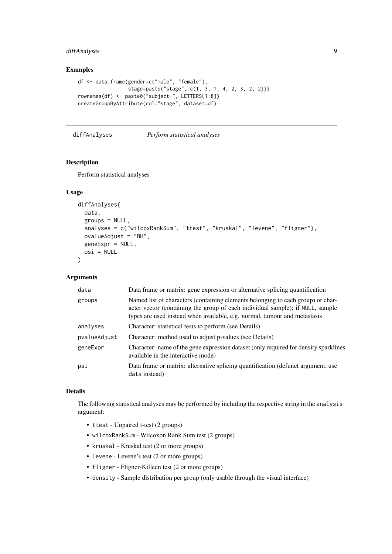# <span id="page-8-0"></span>diffAnalyses 9

# Examples

```
df <- data.frame(gender=c("male", "female"),
                 stage=paste("stage", c(1, 3, 1, 4, 2, 3, 2, 2)))
rownames(df) <- paste0("subject-", LETTERS[1:8])
createGroupByAttribute(col="stage", dataset=df)
```
<span id="page-8-1"></span>diffAnalyses *Perform statistical analyses*

# Description

Perform statistical analyses

#### Usage

```
diffAnalyses(
  data,
  groups = NULL,
  analyses = c("wilcoxRankSum", "ttest", "kruskal", "levene", "fligner"),
  pvalueAdjust = "BH",
  geneExpr = NULL,
  psi = NULL
)
```
#### Arguments

| data         | Data frame or matrix: gene expression or alternative splicing quantification                                                                                                                                                                   |
|--------------|------------------------------------------------------------------------------------------------------------------------------------------------------------------------------------------------------------------------------------------------|
| groups       | Named list of characters (containing elements belonging to each group) or char-<br>acter vector (containing the group of each individual sample); if NULL, sample<br>types are used instead when available, e.g. normal, tumour and metastasis |
| analyses     | Character: statistical tests to perform (see Details)                                                                                                                                                                                          |
| pvalueAdjust | Character: method used to adjust p-values (see Details)                                                                                                                                                                                        |
| geneExpr     | Character: name of the gene expression dataset (only required for density sparklines<br>available in the interactive mode)                                                                                                                     |
| psi          | Data frame or matrix: alternative splicing quantification (defunct argument, use<br>data instead)                                                                                                                                              |

#### Details

The following statistical analyses may be performed by including the respective string in the analysis argument:

- ttest Unpaired t-test (2 groups)
- wilcoxRankSum Wilcoxon Rank Sum test (2 groups)
- kruskal Kruskal test (2 or more groups)
- levene Levene's test (2 or more groups)
- fligner Fligner-Killeen test (2 or more groups)
- density Sample distribution per group (only usable through the visual interface)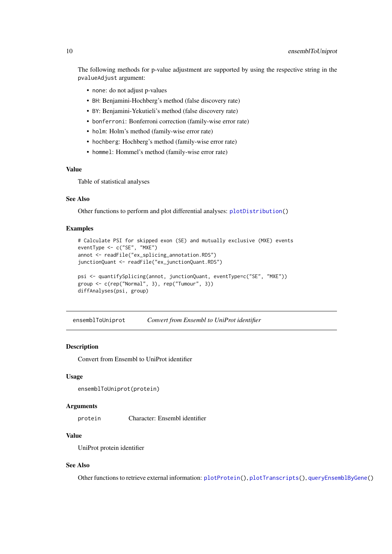<span id="page-9-0"></span>The following methods for p-value adjustment are supported by using the respective string in the pvalueAdjust argument:

- none: do not adjust p-values
- BH: Benjamini-Hochberg's method (false discovery rate)
- BY: Benjamini-Yekutieli's method (false discovery rate)
- bonferroni: Bonferroni correction (family-wise error rate)
- holm: Holm's method (family-wise error rate)
- hochberg: Hochberg's method (family-wise error rate)
- hommel: Hommel's method (family-wise error rate)

# Value

Table of statistical analyses

# See Also

Other functions to perform and plot differential analyses: [plotDistribution\(](#page-35-1))

#### Examples

```
# Calculate PSI for skipped exon (SE) and mutually exclusive (MXE) events
eventType <- c("SE", "MXE")
annot <- readFile("ex_splicing_annotation.RDS")
junctionQuant <- readFile("ex_junctionQuant.RDS")
psi <- quantifySplicing(annot, junctionQuant, eventType=c("SE", "MXE"))
group <- c(rep("Normal", 3), rep("Tumour", 3))
diffAnalyses(psi, group)
```
<span id="page-9-1"></span>ensemblToUniprot *Convert from Ensembl to UniProt identifier*

#### **Description**

Convert from Ensembl to UniProt identifier

#### Usage

```
ensemblToUniprot(protein)
```
#### Arguments

protein Character: Ensembl identifier

#### Value

UniProt protein identifier

## See Also

Other functions to retrieve external information: [plotProtein\(](#page-41-1)), [plotTranscripts\(](#page-47-1)), [queryEnsemblByGene\(](#page-55-1))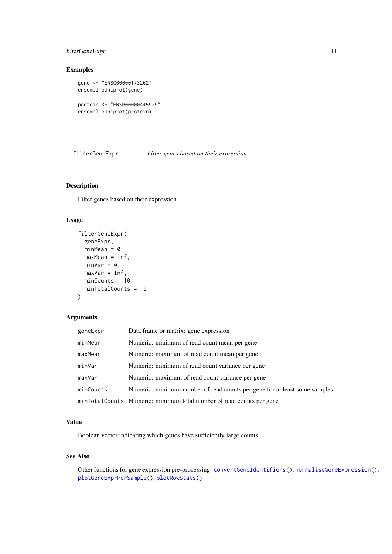#### <span id="page-10-0"></span>filterGeneExpr 11

# Examples

```
gene <- "ENSG00000173262"
ensemblToUniprot(gene)
```

```
protein <- "ENSP00000445929"
ensemblToUniprot(protein)
```
<span id="page-10-1"></span>filterGeneExpr *Filter genes based on their expression*

# Description

Filter genes based on their expression

# Usage

```
filterGeneExpr(
  geneExpr,
  minMean = 0,
  maxMean = Inf,
  minVar = 0,
  maxVar = Inf,minCounts = 10,
  minTotalCounts = 15
)
```
#### Arguments

| geneExpr  | Data frame or matrix: gene expression                                     |
|-----------|---------------------------------------------------------------------------|
| minMean   | Numeric: minimum of read count mean per gene                              |
| maxMean   | Numeric: maximum of read count mean per gene                              |
| minVar    | Numeric: minimum of read count variance per gene                          |
| maxVar    | Numeric: maximum of read count variance per gene                          |
| minCounts | Numeric: minimum number of read counts per gene for at least some samples |
|           | minTotalCounts Numeric: minimum total number of read counts per gene      |

# Value

Boolean vector indicating which genes have sufficiently large counts

#### See Also

Other functions for gene expression pre-processing: [convertGeneIdentifiers\(](#page-5-1)), [normaliseGeneExpression\(](#page-27-1)), [plotGeneExprPerSample\(](#page-37-1)), [plotRowStats\(](#page-42-1))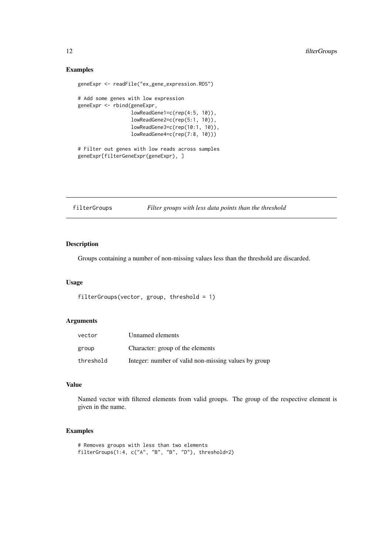# Examples

```
geneExpr <- readFile("ex_gene_expression.RDS")
# Add some genes with low expression
geneExpr <- rbind(geneExpr,
                  lowReadGene1=c(rep(4:5, 10)),
                  lowReadGene2=c(rep(5:1, 10)),
                  lowReadGene3=c(rep(10:1, 10)),
                  lowReadGene4=c(rep(7:8, 10)))
# Filter out genes with low reads across samples
geneExpr[filterGeneExpr(geneExpr), ]
```
filterGroups *Filter groups with less data points than the threshold*

# Description

Groups containing a number of non-missing values less than the threshold are discarded.

#### Usage

```
filterGroups(vector, group, threshold = 1)
```
#### Arguments

| vector    | Unnamed elements                                     |
|-----------|------------------------------------------------------|
| group     | Character: group of the elements                     |
| threshold | Integer: number of valid non-missing values by group |

# Value

Named vector with filtered elements from valid groups. The group of the respective element is given in the name.

```
# Removes groups with less than two elements
filterGroups(1:4, c("A", "B", "B", "D"), threshold=2)
```
<span id="page-11-0"></span>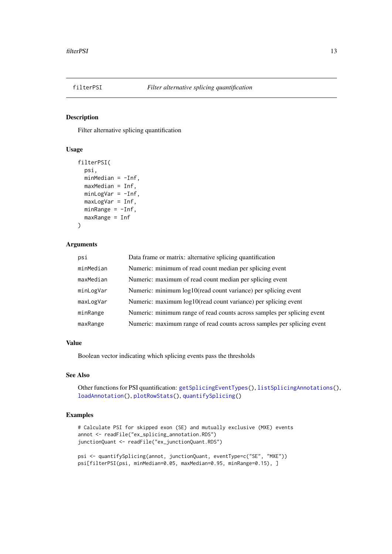<span id="page-12-1"></span><span id="page-12-0"></span>

#### Description

Filter alternative splicing quantification

# Usage

```
filterPSI(
 psi,
 minMedian = -Inf,maxMedian = Inf,
 minLogVar = -Inf,maxLogVar = Inf,
 minRange = -Inf,maxRange = Inf
)
```
# Arguments

| psi       | Data frame or matrix: alternative splicing quantification               |
|-----------|-------------------------------------------------------------------------|
| minMedian | Numeric: minimum of read count median per splicing event                |
| maxMedian | Numeric: maximum of read count median per splicing event                |
| minLogVar | Numeric: minimum log10(read count variance) per splicing event          |
| maxLogVar | Numeric: maximum log10(read count variance) per splicing event          |
| minRange  | Numeric: minimum range of read counts across samples per splicing event |
| maxRange  | Numeric: maximum range of read counts across samples per splicing event |

#### Value

Boolean vector indicating which splicing events pass the thresholds

#### See Also

Other functions for PSI quantification: [getSplicingEventTypes\(](#page-18-2)), [listSplicingAnnotations\(](#page-22-1)), [loadAnnotation\(](#page-22-2)), [plotRowStats\(](#page-42-1)), [quantifySplicing\(](#page-54-1))

```
# Calculate PSI for skipped exon (SE) and mutually exclusive (MXE) events
annot <- readFile("ex_splicing_annotation.RDS")
junctionQuant <- readFile("ex_junctionQuant.RDS")
```

```
psi <- quantifySplicing(annot, junctionQuant, eventType=c("SE", "MXE"))
psi[filterPSI(psi, minMedian=0.05, maxMedian=0.95, minRange=0.15), ]
```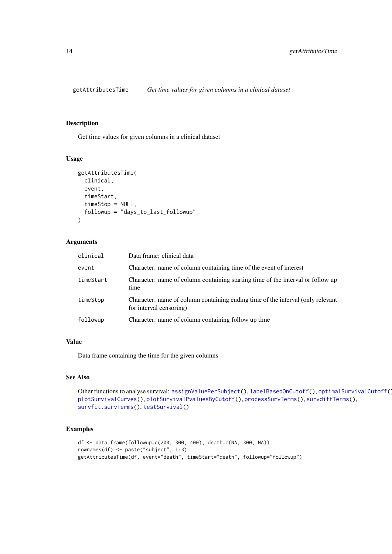<span id="page-13-1"></span><span id="page-13-0"></span>

# Description

Get time values for given columns in a clinical dataset

#### Usage

```
getAttributesTime(
  clinical,
  event,
  timeStart,
  timeStop = NULL,
  followup = "days_to_last_followup"
\lambda
```
# Arguments

| clinical  | Data frame: clinical data                                                                                  |
|-----------|------------------------------------------------------------------------------------------------------------|
| event     | Character: name of column containing time of the event of interest                                         |
| timeStart | Character: name of column containing starting time of the interval or follow up<br>time                    |
| timeStop  | Character: name of column containing ending time of the interval (only relevant<br>for interval censoring) |
| followup  | Character: name of column containing follow up time                                                        |

#### Value

Data frame containing the time for the given columns

# See Also

Other functions to analyse survival: [assignValuePerSubject\(](#page-3-1)), [labelBasedOnCutoff\(](#page-21-1)), [optimalSurvivalCutoff\(](#page-28-1)), [plotSurvivalCurves\(](#page-45-1)), [plotSurvivalPvaluesByCutoff\(](#page-46-1)), [processSurvTerms\(](#page-51-1)), [survdiffTerms\(](#page-56-1)), [survfit.survTerms\(](#page-58-1)), [testSurvival\(](#page-60-1))

```
df <- data.frame(followup=c(200, 300, 400), death=c(NA, 300, NA))
rownames(df) <- paste("subject", 1:3)
getAttributesTime(df, event="death", timeStart="death", followup="followup")
```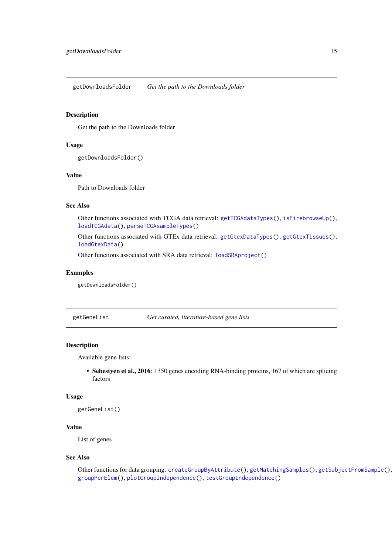<span id="page-14-2"></span><span id="page-14-0"></span>getDownloadsFolder *Get the path to the Downloads folder*

#### Description

Get the path to the Downloads folder

#### Usage

```
getDownloadsFolder()
```
#### Value

Path to Downloads folder

# See Also

Other functions associated with TCGA data retrieval: [getTCGAdataTypes\(](#page-19-1)), [isFirebrowseUp\(](#page-20-2)), [loadTCGAdata\(](#page-25-1)), [parseTCGAsampleTypes\(](#page-32-1))

Other functions associated with GTEx data retrieval: [getGtexDataTypes\(](#page-15-1)), [getGtexTissues\(](#page-15-2)), [loadGtexData\(](#page-23-1))

Other functions associated with SRA data retrieval: [loadSRAproject\(](#page-25-2))

#### Examples

getDownloadsFolder()

<span id="page-14-1"></span>getGeneList *Get curated, literature-based gene lists*

#### Description

Available gene lists:

• Sebestyen et al., 2016: 1350 genes encoding RNA-binding proteins, 167 of which are splicing factors

#### Usage

getGeneList()

# Value

List of genes

#### See Also

Other functions for data grouping: [createGroupByAttribute\(](#page-7-1)), [getMatchingSamples\(](#page-16-1)), [getSubjectFromSample\(](#page-18-1)), [groupPerElem\(](#page-20-1)), [plotGroupIndependence\(](#page-38-1)), [testGroupIndependence\(](#page-59-1))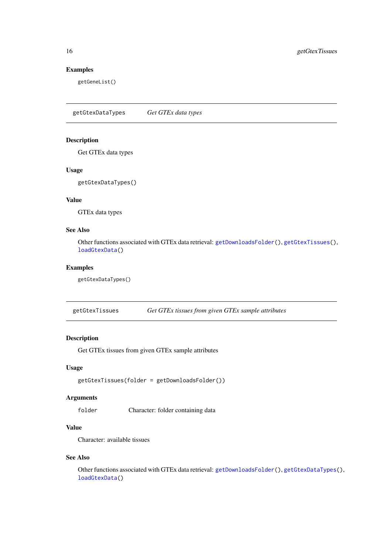# Examples

getGeneList()

<span id="page-15-1"></span>getGtexDataTypes *Get GTEx data types*

# Description

Get GTEx data types

# Usage

getGtexDataTypes()

# Value

GTEx data types

# See Also

Other functions associated with GTEx data retrieval: [getDownloadsFolder\(](#page-14-2)), [getGtexTissues\(](#page-15-2)), [loadGtexData\(](#page-23-1))

#### Examples

getGtexDataTypes()

<span id="page-15-2"></span>getGtexTissues *Get GTEx tissues from given GTEx sample attributes*

# Description

Get GTEx tissues from given GTEx sample attributes

# Usage

getGtexTissues(folder = getDownloadsFolder())

# Arguments

folder Character: folder containing data

# Value

Character: available tissues

# See Also

Other functions associated with GTEx data retrieval: [getDownloadsFolder\(](#page-14-2)), [getGtexDataTypes\(](#page-15-1)), [loadGtexData\(](#page-23-1))

<span id="page-15-0"></span>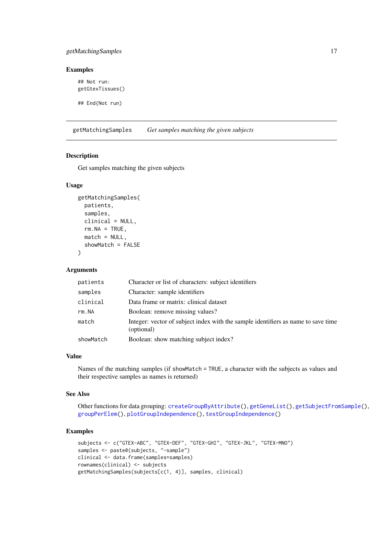#### <span id="page-16-0"></span>getMatchingSamples 17

# Examples

## Not run: getGtexTissues() ## End(Not run)

<span id="page-16-1"></span>getMatchingSamples *Get samples matching the given subjects*

# Description

Get samples matching the given subjects

#### Usage

```
getMatchingSamples(
  patients,
  samples,
  clinical = NULL,
  rm.MA = TRUE,match = NULL,
  showMatch = FALSE
)
```
# Arguments

| patients  | Character or list of characters: subject identifiers                                            |
|-----------|-------------------------------------------------------------------------------------------------|
| samples   | Character: sample identifiers                                                                   |
| clinical  | Data frame or matrix: clinical dataset                                                          |
| rm.MA     | Boolean: remove missing values?                                                                 |
| match     | Integer: vector of subject index with the sample identifiers as name to save time<br>(optional) |
| showMatch | Boolean: show matching subject index?                                                           |

#### Value

Names of the matching samples (if showMatch = TRUE, a character with the subjects as values and their respective samples as names is returned)

#### See Also

Other functions for data grouping: [createGroupByAttribute\(](#page-7-1)), [getGeneList\(](#page-14-1)), [getSubjectFromSample\(](#page-18-1)), [groupPerElem\(](#page-20-1)), [plotGroupIndependence\(](#page-38-1)), [testGroupIndependence\(](#page-59-1))

```
subjects <- c("GTEX-ABC", "GTEX-DEF", "GTEX-GHI", "GTEX-JKL", "GTEX-MNO")
samples <- paste0(subjects, "-sample")
clinical <- data.frame(samples=samples)
rownames(clinical) <- subjects
getMatchingSamples(subjects[c(1, 4)], samples, clinical)
```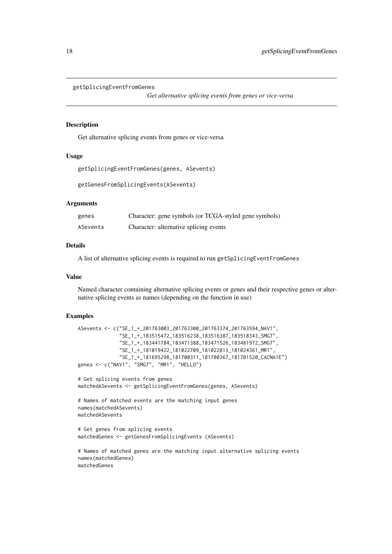#### <span id="page-17-0"></span>getSplicingEventFromGenes

*Get alternative splicing events from genes or vice-versa*

#### Description

Get alternative splicing events from genes or vice-versa

# Usage

```
getSplicingEventFromGenes(genes, ASevents)
```
getGenesFromSplicingEvents(ASevents)

#### Arguments

| genes    | Character: gene symbols (or TCGA-styled gene symbols) |
|----------|-------------------------------------------------------|
| ASevents | Character: alternative splicing events                |

#### Details

A list of alternative splicing events is required to run getSplicingEventFromGenes

#### Value

Named character containing alternative splicing events or genes and their respective genes or alternative splicing events as names (depending on the function in use)

```
ASevents <- c("SE_1_+_201763003_201763300_201763374_201763594_NAV1",
              "SE_1_+_183515472_183516238_183516387_183518343_SMG7",
              "SE_1_+_183441784_183471388_183471526_183481972_SMG7",
              "SE_1_+_181019422_181022709_181022813_181024361_MR1",
              "SE_1_+_181695298_181700311_181700367_181701520_CACNA1E")
genes <- c("NAV1", "SMG7", "MR1", "HELLO")
# Get splicing events from genes
matchedASevents <- getSplicingEventFromGenes(genes, ASevents)
# Names of matched events are the matching input genes
names(matchedASevents)
matchedASevents
# Get genes from splicing events
matchedGenes <- getGenesFromSplicingEvents (ASevents)
# Names of matched genes are the matching input alternative splicing events
names(matchedGenes)
matchedGenes
```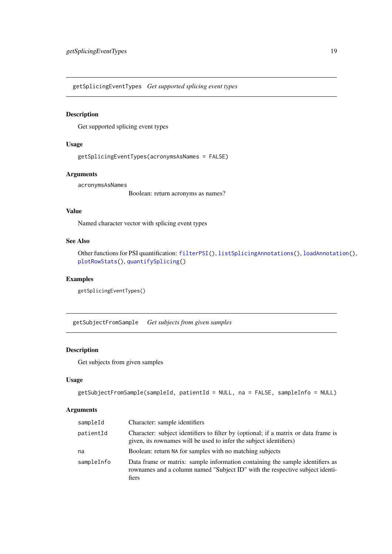<span id="page-18-2"></span><span id="page-18-0"></span>getSplicingEventTypes *Get supported splicing event types*

#### Description

Get supported splicing event types

# Usage

getSplicingEventTypes(acronymsAsNames = FALSE)

# Arguments

acronymsAsNames

Boolean: return acronyms as names?

# Value

Named character vector with splicing event types

# See Also

Other functions for PSI quantification: [filterPSI\(](#page-12-1)), [listSplicingAnnotations\(](#page-22-1)), [loadAnnotation\(](#page-22-2)), [plotRowStats\(](#page-42-1)), [quantifySplicing\(](#page-54-1))

# Examples

getSplicingEventTypes()

<span id="page-18-1"></span>getSubjectFromSample *Get subjects from given samples*

# Description

Get subjects from given samples

#### Usage

```
getSubjectFromSample(sampleId, patientId = NULL, na = FALSE, sampleInfo = NULL)
```
# Arguments

| sampleId   | Character: sample identifiers                                                                                                                                          |
|------------|------------------------------------------------------------------------------------------------------------------------------------------------------------------------|
| patientId  | Character: subject identifiers to filter by (optional; if a matrix or data frame is<br>given, its rownames will be used to infer the subject identifiers)              |
| na         | Boolean: return NA for samples with no matching subjects                                                                                                               |
| sampleInfo | Data frame or matrix: sample information containing the sample identifiers as<br>rownames and a column named "Subject ID" with the respective subject identi-<br>fiers |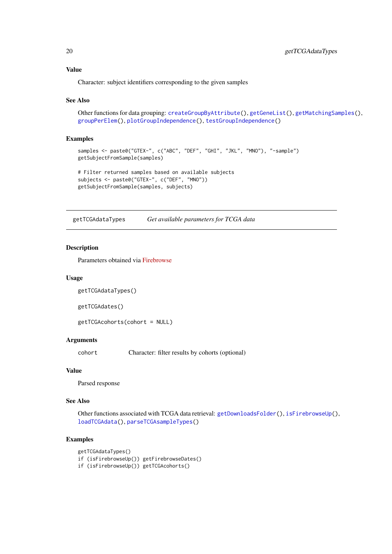# Value

Character: subject identifiers corresponding to the given samples

# See Also

Other functions for data grouping: [createGroupByAttribute\(](#page-7-1)), [getGeneList\(](#page-14-1)), [getMatchingSamples\(](#page-16-1)), [groupPerElem\(](#page-20-1)), [plotGroupIndependence\(](#page-38-1)), [testGroupIndependence\(](#page-59-1))

#### Examples

```
samples <- paste0("GTEX-", c("ABC", "DEF", "GHI", "JKL", "MNO"), "-sample")
getSubjectFromSample(samples)
# Filter returned samples based on available subjects
```

```
subjects <- paste0("GTEX-", c("DEF", "MNO"))
getSubjectFromSample(samples, subjects)
```
<span id="page-19-1"></span>getTCGAdataTypes *Get available parameters for TCGA data*

#### Description

Parameters obtained via [Firebrowse](http://firebrowse.org/api-docs/)

#### Usage

```
getTCGAdataTypes()
```
getTCGAdates()

getTCGAcohorts(cohort = NULL)

#### Arguments

cohort Character: filter results by cohorts (optional)

# Value

Parsed response

# See Also

Other functions associated with TCGA data retrieval: [getDownloadsFolder\(](#page-14-2)), [isFirebrowseUp\(](#page-20-2)), [loadTCGAdata\(](#page-25-1)), [parseTCGAsampleTypes\(](#page-32-1))

```
getTCGAdataTypes()
if (isFirebrowseUp()) getFirebrowseDates()
if (isFirebrowseUp()) getTCGAcohorts()
```
<span id="page-19-0"></span>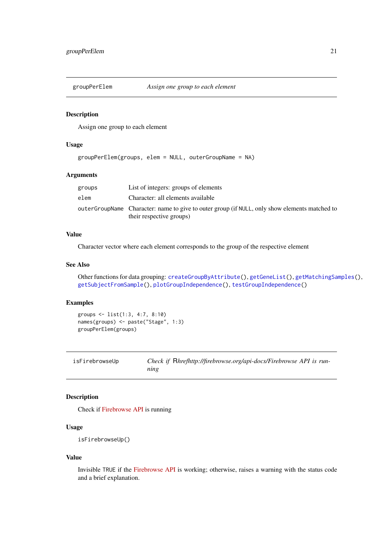<span id="page-20-1"></span><span id="page-20-0"></span>groupPerElem *Assign one group to each element*

#### Description

Assign one group to each element

#### Usage

```
groupPerElem(groups, elem = NULL, outerGroupName = NA)
```
#### Arguments

| groups | List of integers: groups of elements                                                          |
|--------|-----------------------------------------------------------------------------------------------|
| elem   | Character: all elements available                                                             |
|        | outerGroupName Character: name to give to outer group (if NULL, only show elements matched to |
|        | their respective groups)                                                                      |

# Value

Character vector where each element corresponds to the group of the respective element

# See Also

Other functions for data grouping: [createGroupByAttribute\(](#page-7-1)), [getGeneList\(](#page-14-1)), [getMatchingSamples\(](#page-16-1)), [getSubjectFromSample\(](#page-18-1)), [plotGroupIndependence\(](#page-38-1)), [testGroupIndependence\(](#page-59-1))

#### Examples

```
groups <- list(1:3, 4:7, 8:10)
names(groups) <- paste("Stage", 1:3)
groupPerElem(groups)
```
<span id="page-20-2"></span>

| isFirebrowseUp | Check if Rhrefhttp://firebrowse.org/api-docs/Firebrowse API is run- |
|----------------|---------------------------------------------------------------------|
|                | ning                                                                |

#### Description

Check if [Firebrowse API](http://firebrowse.org/api-docs/) is running

#### Usage

```
isFirebrowseUp()
```
# Value

Invisible TRUE if the [Firebrowse API](http://firebrowse.org/api-docs/) is working; otherwise, raises a warning with the status code and a brief explanation.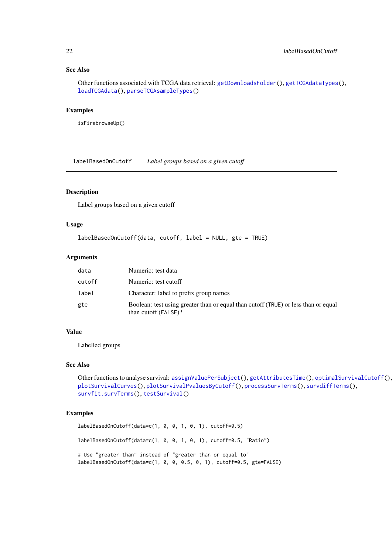#### See Also

Other functions associated with TCGA data retrieval: [getDownloadsFolder\(](#page-14-2)), [getTCGAdataTypes\(](#page-19-1)), [loadTCGAdata\(](#page-25-1)), [parseTCGAsampleTypes\(](#page-32-1))

#### Examples

isFirebrowseUp()

<span id="page-21-1"></span>labelBasedOnCutoff *Label groups based on a given cutoff*

# Description

Label groups based on a given cutoff

#### Usage

```
labelBasedOnCutoff(data, cutoff, label = NULL, gte = TRUE)
```
# Arguments

| data   | Numeric: test data                                                                                         |
|--------|------------------------------------------------------------------------------------------------------------|
| cutoff | Numeric: test cutoff                                                                                       |
| label  | Character: label to prefix group names                                                                     |
| gte    | Boolean: test using greater than or equal than cutoff (TRUE) or less than or equal<br>than cutoff (FALSE)? |

#### Value

Labelled groups

#### See Also

Other functions to analyse survival: [assignValuePerSubject\(](#page-3-1)), [getAttributesTime\(](#page-13-1)), [optimalSurvivalCutoff\(](#page-28-1)), [plotSurvivalCurves\(](#page-45-1)), [plotSurvivalPvaluesByCutoff\(](#page-46-1)), [processSurvTerms\(](#page-51-1)), [survdiffTerms\(](#page-56-1)), [survfit.survTerms\(](#page-58-1)), [testSurvival\(](#page-60-1))

# Examples

labelBasedOnCutoff(data=c(1, 0, 0, 1, 0, 1), cutoff=0.5) labelBasedOnCutoff(data=c(1, 0, 0, 1, 0, 1), cutoff=0.5, "Ratio") # Use "greater than" instead of "greater than or equal to" labelBasedOnCutoff(data=c(1, 0, 0, 0.5, 0, 1), cutoff=0.5, gte=FALSE)

<span id="page-21-0"></span>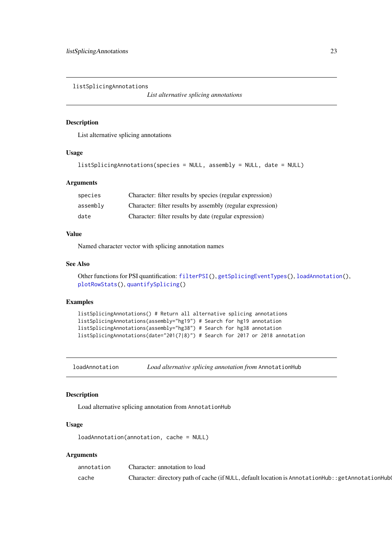<span id="page-22-1"></span><span id="page-22-0"></span>listSplicingAnnotations

*List alternative splicing annotations*

### Description

List alternative splicing annotations

# Usage

```
listSplicingAnnotations(species = NULL, assembly = NULL, date = NULL)
```
# Arguments

| species  | Character: filter results by species (regular expression)  |
|----------|------------------------------------------------------------|
| assemblv | Character: filter results by assembly (regular expression) |
| date     | Character: filter results by date (regular expression)     |

# Value

Named character vector with splicing annotation names

# See Also

Other functions for PSI quantification: [filterPSI\(](#page-12-1)), [getSplicingEventTypes\(](#page-18-2)), [loadAnnotation\(](#page-22-2)), [plotRowStats\(](#page-42-1)), [quantifySplicing\(](#page-54-1))

#### Examples

```
listSplicingAnnotations() # Return all alternative splicing annotations
listSplicingAnnotations(assembly="hg19") # Search for hg19 annotation
listSplicingAnnotations(assembly="hg38") # Search for hg38 annotation
listSplicingAnnotations(date="201(7|8)") # Search for 2017 or 2018 annotation
```
<span id="page-22-2"></span>loadAnnotation *Load alternative splicing annotation from* AnnotationHub

# Description

Load alternative splicing annotation from AnnotationHub

#### Usage

```
loadAnnotation(annotation, cache = NULL)
```
# Arguments

| annotation | Character: annotation to load                                                                      |
|------------|----------------------------------------------------------------------------------------------------|
| cache      | Character: directory path of cache (if NULL, default location is AnnotationHub:: getAnnotationHub( |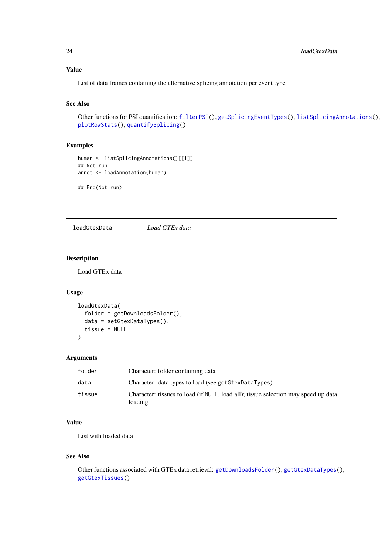# <span id="page-23-0"></span>Value

List of data frames containing the alternative splicing annotation per event type

#### See Also

```
Other functions for PSI quantification: filterPSI(), getSplicingEventTypes(), listSplicingAnnotations(),
plotRowStats(), quantifySplicing()
```
# Examples

```
human <- listSplicingAnnotations()[[1]]
## Not run:
annot <- loadAnnotation(human)
```
## End(Not run)

<span id="page-23-1"></span>loadGtexData *Load GTEx data*

### Description

Load GTEx data

# Usage

```
loadGtexData(
  folder = getDownloadsFolder(),
  data = getGtexDataTypes(),
  tissue = NULL
)
```
#### Arguments

| folder | Character: folder containing data                                                             |
|--------|-----------------------------------------------------------------------------------------------|
| data   | Character: data types to load (see getGtexDataTypes)                                          |
| tissue | Character: tissues to load (if NULL, load all); tissue selection may speed up data<br>loading |

#### Value

List with loaded data

# See Also

Other functions associated with GTEx data retrieval: [getDownloadsFolder\(](#page-14-2)), [getGtexDataTypes\(](#page-15-1)), [getGtexTissues\(](#page-15-2))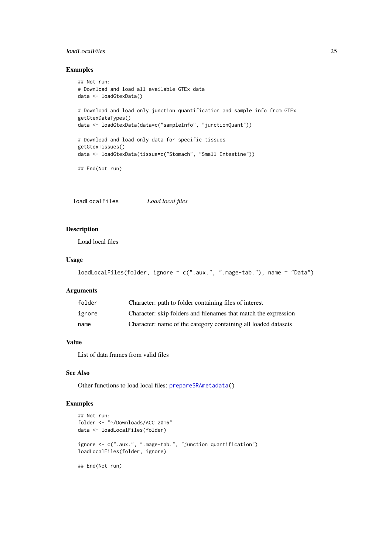#### <span id="page-24-0"></span>loadLocalFiles 25

#### Examples

```
## Not run:
# Download and load all available GTEx data
data <- loadGtexData()
# Download and load only junction quantification and sample info from GTEx
getGtexDataTypes()
data <- loadGtexData(data=c("sampleInfo", "junctionQuant"))
# Download and load only data for specific tissues
getGtexTissues()
data <- loadGtexData(tissue=c("Stomach", "Small Intestine"))
## End(Not run)
```
<span id="page-24-1"></span>loadLocalFiles *Load local files*

# Description

Load local files

#### Usage

```
loadLocalFiles(folder, ignore = c(".aux.", ".mage-tab."), name = "Data")
```
#### Arguments

| folder | Character: path to folder containing files of interest          |
|--------|-----------------------------------------------------------------|
| ignore | Character: skip folders and filenames that match the expression |
| name   | Character: name of the category containing all loaded datasets  |

# Value

List of data frames from valid files

#### See Also

Other functions to load local files: [prepareSRAmetadata\(](#page-50-1))

```
## Not run:
folder <- "~/Downloads/ACC 2016"
data <- loadLocalFiles(folder)
ignore <- c(".aux.", ".mage-tab.", "junction quantification")
loadLocalFiles(folder, ignore)
## End(Not run)
```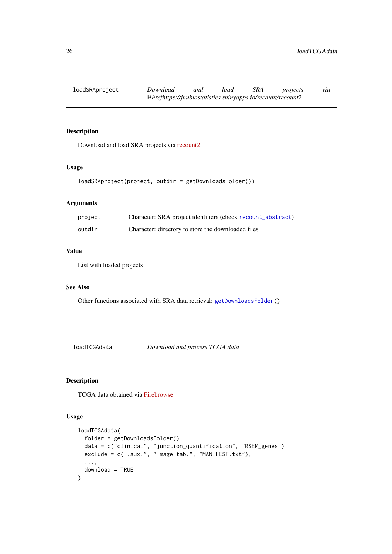# <span id="page-25-2"></span><span id="page-25-0"></span>Description

Download and load SRA projects via [recount2](https://jhubiostatistics.shinyapps.io/recount/)

# Usage

```
loadSRAproject(project, outdir = getDownloadsFolder())
```
#### Arguments

| project | Character: SRA project identifiers (check recount_abstract) |
|---------|-------------------------------------------------------------|
| outdir  | Character: directory to store the downloaded files          |

# Value

List with loaded projects

# See Also

Other functions associated with SRA data retrieval: [getDownloadsFolder\(](#page-14-2))

<span id="page-25-1"></span>loadTCGAdata *Download and process TCGA data*

# Description

TCGA data obtained via [Firebrowse](http://firebrowse.org/api-docs/)

```
loadTCGAdata(
  folder = getDownloadsFolder(),
  data = c("clinical", "junction_quantification", "RSEM_genes"),
  exclude = c(".aux.", ".mage-tab.", "MANIFEST.txt"),
  ...,
  download = TRUE
)
```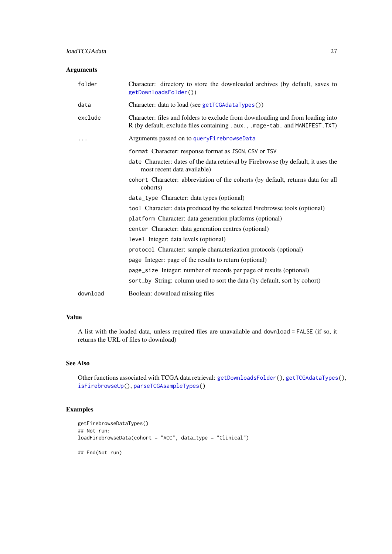#### <span id="page-26-0"></span>Arguments

| folder   | Character: directory to store the downloaded archives (by default, saves to<br>getDownloadsFolder())                                                           |
|----------|----------------------------------------------------------------------------------------------------------------------------------------------------------------|
| data     | Character: data to load (see getTCGAdataTypes())                                                                                                               |
| exclude  | Character: files and folders to exclude from downloading and from loading into<br>R (by default, exclude files containing .aux., .mage-tab. and MANIFEST. TXT) |
|          | Arguments passed on to queryFirebrowseData                                                                                                                     |
|          | format Character: response format as JSON, CSV or TSV                                                                                                          |
|          | date Character: dates of the data retrieval by Firebrowse (by default, it uses the<br>most recent data available)                                              |
|          | cohort Character: abbreviation of the cohorts (by default, returns data for all<br>cohorts)                                                                    |
|          | data_type Character: data types (optional)                                                                                                                     |
|          | tool Character: data produced by the selected Firebrowse tools (optional)                                                                                      |
|          | platform Character: data generation platforms (optional)                                                                                                       |
|          | center Character: data generation centres (optional)                                                                                                           |
|          | level Integer: data levels (optional)                                                                                                                          |
|          | protocol Character: sample characterization protocols (optional)                                                                                               |
|          | page Integer: page of the results to return (optional)                                                                                                         |
|          | page_size Integer: number of records per page of results (optional)                                                                                            |
|          | sort_by String: column used to sort the data (by default, sort by cohort)                                                                                      |
| download | Boolean: download missing files                                                                                                                                |

# Value

A list with the loaded data, unless required files are unavailable and download = FALSE (if so, it returns the URL of files to download)

# See Also

Other functions associated with TCGA data retrieval: [getDownloadsFolder\(](#page-14-2)), [getTCGAdataTypes\(](#page-19-1)), [isFirebrowseUp\(](#page-20-2)), [parseTCGAsampleTypes\(](#page-32-1))

```
getFirebrowseDataTypes()
## Not run:
loadFirebrowseData(cohort = "ACC", data_type = "Clinical")
## End(Not run)
```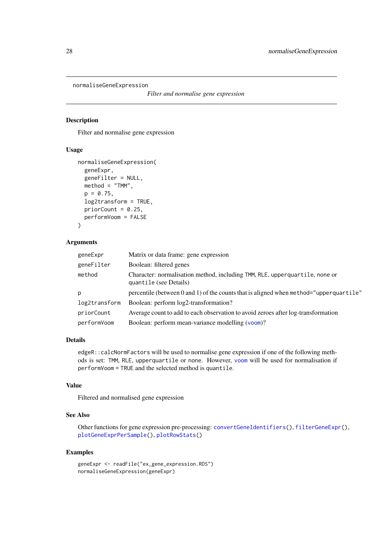```
normaliseGeneExpression
```

```
Filter and normalise gene expression
```
# Description

Filter and normalise gene expression

# Usage

```
normaliseGeneExpression(
  geneExpr,
  geneFilter = NULL,
  method = "TMM",p = 0.75,
  log2transform = TRUE,
  priorCount = 0.25,
  performVoom = FALSE
)
```
# Arguments

| geneExpr      | Matrix or data frame: gene expression                                                                 |
|---------------|-------------------------------------------------------------------------------------------------------|
| geneFilter    | Boolean: filtered genes                                                                               |
| method        | Character: normalisation method, including TMM, RLE, upperquartile, none or<br>quantile (see Details) |
| p             | percentile (between 0 and 1) of the counts that is aligned when method="upperquartile"                |
| log2transform | Boolean: perform log2-transformation?                                                                 |
| priorCount    | Average count to add to each observation to avoid zeroes after log-transformation                     |
| performVoom   | Boolean: perform mean-variance modelling (voom)?                                                      |

# Details

edgeR::calcNormFactors will be used to normalise gene expression if one of the following methods is set: TMM, RLE, upperquartile or none. However, [voom](#page-0-0) will be used for normalisation if performVoom = TRUE and the selected method is quantile.

# Value

Filtered and normalised gene expression

# See Also

Other functions for gene expression pre-processing: [convertGeneIdentifiers\(](#page-5-1)), [filterGeneExpr\(](#page-10-1)), [plotGeneExprPerSample\(](#page-37-1)), [plotRowStats\(](#page-42-1))

```
geneExpr <- readFile("ex_gene_expression.RDS")
normaliseGeneExpression(geneExpr)
```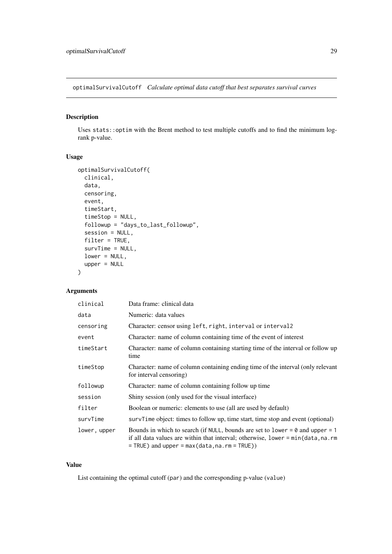<span id="page-28-1"></span><span id="page-28-0"></span>optimalSurvivalCutoff *Calculate optimal data cutoff that best separates survival curves*

# Description

Uses stats::optim with the Brent method to test multiple cutoffs and to find the minimum logrank p-value.

#### Usage

```
optimalSurvivalCutoff(
  clinical,
  data,
  censoring,
  event,
  timeStart,
  timeStop = NULL,
  followup = "days_to_last_followup",
  session = NULL,
  filter = TRUE,
  survTime = NULL,
  lower = NULL,
  upper = NULL
)
```
# Arguments

| clinical     | Data frame: clinical data                                                                                                                                                                                                      |
|--------------|--------------------------------------------------------------------------------------------------------------------------------------------------------------------------------------------------------------------------------|
| data         | Numeric: data values                                                                                                                                                                                                           |
| censoring    | Character: censor using left, right, interval or interval2                                                                                                                                                                     |
| event        | Character: name of column containing time of the event of interest                                                                                                                                                             |
| timeStart    | Character: name of column containing starting time of the interval or follow up<br>time                                                                                                                                        |
| timeStop     | Character: name of column containing ending time of the interval (only relevant<br>for interval censoring)                                                                                                                     |
| followup     | Character: name of column containing follow up time                                                                                                                                                                            |
| session      | Shiny session (only used for the visual interface)                                                                                                                                                                             |
| filter       | Boolean or numeric: elements to use (all are used by default)                                                                                                                                                                  |
| survTime     | survTime object: times to follow up, time start, time stop and event (optional)                                                                                                                                                |
| lower, upper | Bounds in which to search (if NULL, bounds are set to lower = $\theta$ and upper = 1<br>if all data values are within that interval; otherwise, lower $= min(data, na. rm)$<br>$=$ TRUE) and upper = max(data, na. rm = TRUE)) |

# Value

List containing the optimal cutoff (par) and the corresponding p-value (value)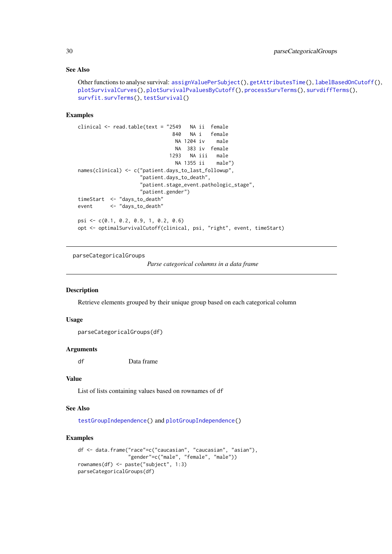#### See Also

```
Other functions to analyse survival: assignValuePerSubject(), getAttributesTime(), labelBasedOnCutoff(),
plotSurvivalCurves(), plotSurvivalPvaluesByCutoff(), processSurvTerms(), survdiffTerms(),
survfit.survTerms(), testSurvival()
```
#### Examples

```
clinical <- read.table(text = "2549 NA ii female
                              840 NA i female
                               NA 1204 iv male
                               NA 383 iv female
                             1293 NA iii male
                               NA 1355 ii male")
names(clinical) <- c("patient.days_to_last_followup",
                    "patient.days_to_death",
                    "patient.stage_event.pathologic_stage",
                    "patient.gender")
timeStart <- "days_to_death"
event <- "days_to_death"
psi <- c(0.1, 0.2, 0.9, 1, 0.2, 0.6)
opt <- optimalSurvivalCutoff(clinical, psi, "right", event, timeStart)
```
<span id="page-29-1"></span>parseCategoricalGroups

*Parse categorical columns in a data frame*

#### Description

Retrieve elements grouped by their unique group based on each categorical column

### Usage

```
parseCategoricalGroups(df)
```
# Arguments

df Data frame

#### Value

List of lists containing values based on rownames of df

# See Also

[testGroupIndependence\(](#page-59-1)) and [plotGroupIndependence\(](#page-38-1))

```
df <- data.frame("race"=c("caucasian", "caucasian", "asian"),
                 "gender"=c("male", "female", "male"))
rownames(df) <- paste("subject", 1:3)
parseCategoricalGroups(df)
```
<span id="page-29-0"></span>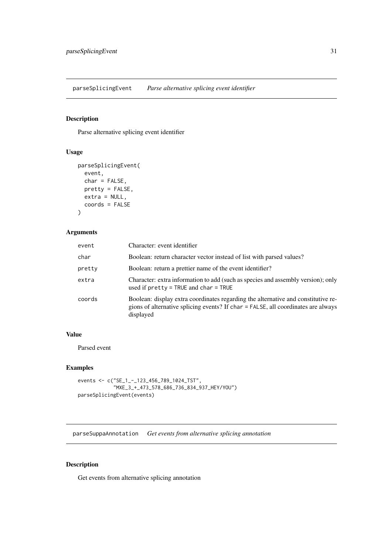<span id="page-30-0"></span>parseSplicingEvent *Parse alternative splicing event identifier*

# Description

Parse alternative splicing event identifier

# Usage

```
parseSplicingEvent(
  event,
  char = FALSE,
  pretty = FALSE,
  extra = NULL,
  coords = FALSE
\lambda
```
# Arguments

| event  | Character: event identifier                                                                                                                                                         |
|--------|-------------------------------------------------------------------------------------------------------------------------------------------------------------------------------------|
| char   | Boolean: return character vector instead of list with parsed values?                                                                                                                |
| pretty | Boolean: return a prettier name of the event identifier?                                                                                                                            |
| extra  | Character: extra information to add (such as species and assembly version); only<br>used if $pretry = TRUE$ and $char = TRUE$                                                       |
| coords | Boolean: display extra coordinates regarding the alternative and constitutive re-<br>gions of alternative splicing events? If char = FALSE, all coordinates are always<br>displayed |

# Value

Parsed event

# Examples

```
events <- c("SE_1_-_123_456_789_1024_TST",
            "MXE_3_+_473_578_686_736_834_937_HEY/YOU")
parseSplicingEvent(events)
```
<span id="page-30-1"></span>parseSuppaAnnotation *Get events from alternative splicing annotation*

# Description

Get events from alternative splicing annotation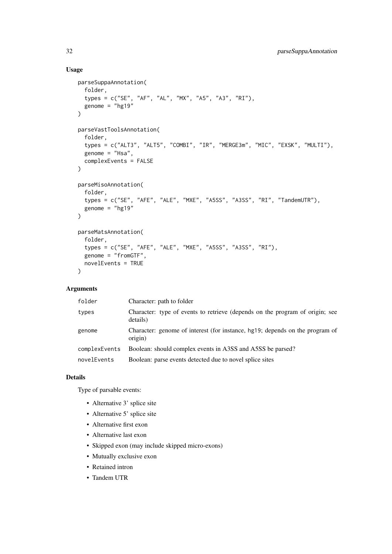# Usage

```
parseSuppaAnnotation(
  folder,
  types = c("SE", "AF", "AL", "MX", "A5", "A3", "RI"),
  genome = "hg19"
\lambdaparseVastToolsAnnotation(
  folder,
  types = c("ALT3", "ALT5", "COMBI", "IR", "MERGE3m", "MIC", "EXSK", "MULTI"),
  genome = "Hsa",
  complexEvents = FALSE
\lambdaparseMisoAnnotation(
  folder,
  types = c("SE", "AFE", "ALE", "MXE", "A5SS", "A3SS", "RI", "TandemUTR"),
  genome = "hg19"
)
parseMatsAnnotation(
  folder,
  types = c("SE", "AFE", "ALE", "MXE", "A5SS", "A3SS", "RI"),
  genome = "fromGTF",
  novelEvents = TRUE
)
```
# Arguments

| folder        | Character: path to folder                                                                |
|---------------|------------------------------------------------------------------------------------------|
| types         | Character: type of events to retrieve (depends on the program of origin; see<br>details) |
| genome        | Character: genome of interest (for instance, hg19; depends on the program of<br>origin)  |
| complexEvents | Boolean: should complex events in A3SS and A5SS be parsed?                               |
| novelEvents   | Boolean: parse events detected due to novel splice sites                                 |

#### Details

Type of parsable events:

- Alternative 3' splice site
- Alternative 5' splice site
- Alternative first exon
- Alternative last exon
- Skipped exon (may include skipped micro-exons)
- Mutually exclusive exon
- Retained intron
- Tandem UTR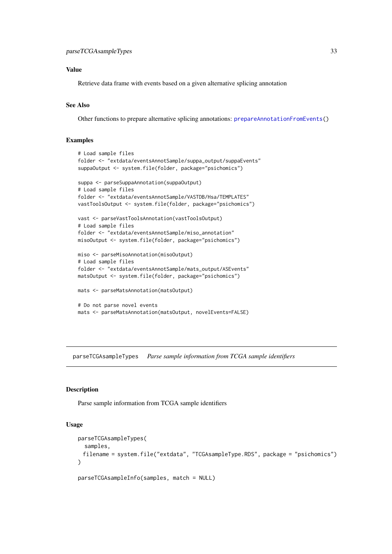# <span id="page-32-0"></span>Value

Retrieve data frame with events based on a given alternative splicing annotation

#### See Also

Other functions to prepare alternative splicing annotations: [prepareAnnotationFromEvents\(](#page-49-1))

# Examples

```
# Load sample files
folder <- "extdata/eventsAnnotSample/suppa_output/suppaEvents"
suppaOutput <- system.file(folder, package="psichomics")
suppa <- parseSuppaAnnotation(suppaOutput)
# Load sample files
folder <- "extdata/eventsAnnotSample/VASTDB/Hsa/TEMPLATES"
vastToolsOutput <- system.file(folder, package="psichomics")
vast <- parseVastToolsAnnotation(vastToolsOutput)
# Load sample files
folder <- "extdata/eventsAnnotSample/miso_annotation"
misoOutput <- system.file(folder, package="psichomics")
miso <- parseMisoAnnotation(misoOutput)
# Load sample files
folder <- "extdata/eventsAnnotSample/mats_output/ASEvents"
matsOutput <- system.file(folder, package="psichomics")
mats <- parseMatsAnnotation(matsOutput)
# Do not parse novel events
mats <- parseMatsAnnotation(matsOutput, novelEvents=FALSE)
```
<span id="page-32-1"></span>parseTCGAsampleTypes *Parse sample information from TCGA sample identifiers*

#### Description

Parse sample information from TCGA sample identifiers

```
parseTCGAsampleTypes(
  samples,
 filename = system.file("extdata", "TCGAsampleType.RDS", package = "psichomics")
)
```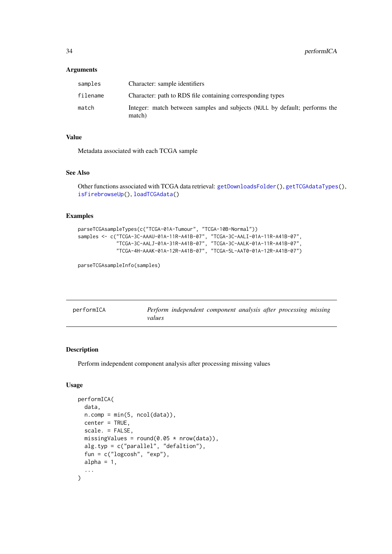# <span id="page-33-0"></span>Arguments

| samples  | Character: sample identifiers                                                        |
|----------|--------------------------------------------------------------------------------------|
| filename | Character: path to RDS file containing corresponding types                           |
| match    | Integer: match between samples and subjects (NULL by default; performs the<br>match) |

# Value

Metadata associated with each TCGA sample

# See Also

Other functions associated with TCGA data retrieval: [getDownloadsFolder\(](#page-14-2)), [getTCGAdataTypes\(](#page-19-1)), [isFirebrowseUp\(](#page-20-2)), [loadTCGAdata\(](#page-25-1))

# Examples

```
parseTCGAsampleTypes(c("TCGA-01A-Tumour", "TCGA-10B-Normal"))
samples <- c("TCGA-3C-AAAU-01A-11R-A41B-07", "TCGA-3C-AALI-01A-11R-A41B-07",
             "TCGA-3C-AALJ-01A-31R-A41B-07", "TCGA-3C-AALK-01A-11R-A41B-07",
             "TCGA-4H-AAAK-01A-12R-A41B-07", "TCGA-5L-AAT0-01A-12R-A41B-07")
```
parseTCGAsampleInfo(samples)

<span id="page-33-1"></span>

| performICA |        | Perform independent component analysis after processing missing |  |  |  |
|------------|--------|-----------------------------------------------------------------|--|--|--|
|            | values |                                                                 |  |  |  |

#### Description

Perform independent component analysis after processing missing values

```
performICA(
 data,
 n.comp = min(5, ncol(data)),center = TRUE,
 scale. = FALSE,
 missingValues = round(0.05 * new(data)),
 alg.typ = c("parallel", "defaltion"),
 fun = c("logcosh", "exp"),
 alpha = 1,
   ...
)
```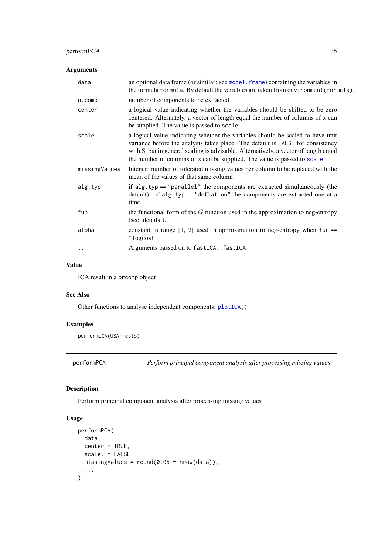#### <span id="page-34-0"></span>performPCA 35

# Arguments

| data          | an optional data frame (or similar: see model. frame) containing the variables in<br>the formula formula. By default the variables are taken from environment (formula).                                                                                                                                                              |
|---------------|---------------------------------------------------------------------------------------------------------------------------------------------------------------------------------------------------------------------------------------------------------------------------------------------------------------------------------------|
| n.comp        | number of components to be extracted                                                                                                                                                                                                                                                                                                  |
| center        | a logical value indicating whether the variables should be shifted to be zero<br>centered. Alternately, a vector of length equal the number of columns of x can<br>be supplied. The value is passed to scale.                                                                                                                         |
| scale.        | a logical value indicating whether the variables should be scaled to have unit<br>variance before the analysis takes place. The default is FALSE for consistency<br>with S, but in general scaling is advisable. Alternatively, a vector of length equal<br>the number of columns of x can be supplied. The value is passed to scale. |
| missingValues | Integer: number of tolerated missing values per column to be replaced with the<br>mean of the values of that same column                                                                                                                                                                                                              |
| alg.typ       | if alg.typ $==$ "parallel" the components are extracted simultaneously (the<br>default). if alg.typ == "deflation" the components are extracted one at a<br>time.                                                                                                                                                                     |
| fun           | the functional form of the $G$ function used in the approximation to neg-entropy<br>(see 'details').                                                                                                                                                                                                                                  |
| alpha         | constant in range $[1, 2]$ used in approximation to neg-entropy when fun ==<br>"logcosh"                                                                                                                                                                                                                                              |
|               | Arguments passed on to fastICA:: fastICA                                                                                                                                                                                                                                                                                              |

# Value

ICA result in a prcomp object

# See Also

Other functions to analyse independent components: [plotICA\(](#page-39-1))

# Examples

performICA(USArrests)

<span id="page-34-1"></span>performPCA *Perform principal component analysis after processing missing values*

# Description

Perform principal component analysis after processing missing values

```
performPCA(
  data,
  center = TRUE,scale. = FALSE,
  missingValues = round(0.05 * nrow(data)),
   ...
)
```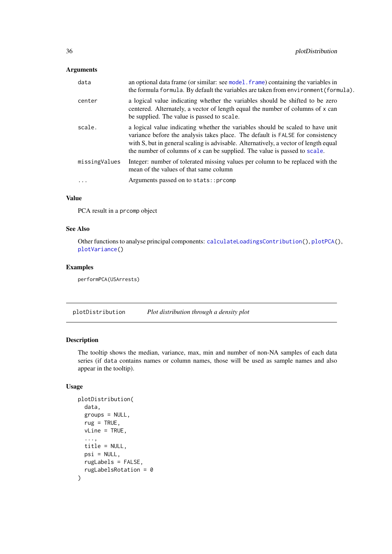# <span id="page-35-0"></span>Arguments

| data          | an optional data frame (or similar: see model. frame) containing the variables in<br>the formula formula. By default the variables are taken from environment (formula).                                                                                                                                                              |
|---------------|---------------------------------------------------------------------------------------------------------------------------------------------------------------------------------------------------------------------------------------------------------------------------------------------------------------------------------------|
| center        | a logical value indicating whether the variables should be shifted to be zero<br>centered. Alternately, a vector of length equal the number of columns of x can<br>be supplied. The value is passed to scale.                                                                                                                         |
| scale.        | a logical value indicating whether the variables should be scaled to have unit<br>variance before the analysis takes place. The default is FALSE for consistency<br>with S, but in general scaling is advisable. Alternatively, a vector of length equal<br>the number of columns of x can be supplied. The value is passed to scale. |
| missingValues | Integer: number of tolerated missing values per column to be replaced with the<br>mean of the values of that same column                                                                                                                                                                                                              |
| .             | Arguments passed on to stats::prcomp                                                                                                                                                                                                                                                                                                  |
|               |                                                                                                                                                                                                                                                                                                                                       |

# Value

PCA result in a prcomp object

#### See Also

Other functions to analyse principal components: [calculateLoadingsContribution\(](#page-4-1)), [plotPCA\(](#page-40-1)), [plotVariance\(](#page-48-1))

#### Examples

performPCA(USArrests)

<span id="page-35-1"></span>plotDistribution *Plot distribution through a density plot*

# Description

The tooltip shows the median, variance, max, min and number of non-NA samples of each data series (if data contains names or column names, those will be used as sample names and also appear in the tooltip).

```
plotDistribution(
  data,
  groups = NULL,
  rug = TRUE,
  vLine = TRUE,
  ...,
  title = NULL,
  psi = NULL,
  rugLabels = FALSE,
  rugLabelsRotation = 0
)
```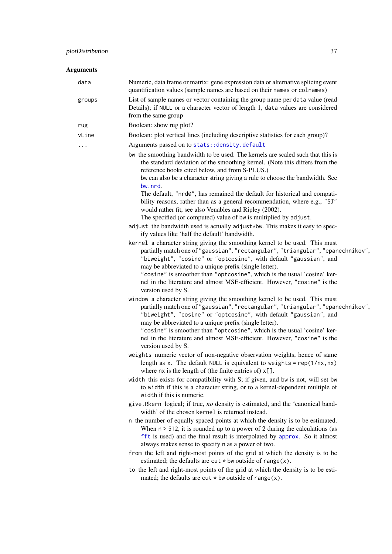<span id="page-36-0"></span>

| Numeric, data frame or matrix: gene expression data or alternative splicing event<br>quantification values (sample names are based on their names or colnames)<br>List of sample names or vector containing the group name per data value (read<br>Details); if NULL or a character vector of length 1, data values are considered<br>from the same group<br>Boolean: show rug plot?<br>Boolean: plot vertical lines (including descriptive statistics for each group)?<br>Arguments passed on to stats: : density.default<br>bw the smoothing bandwidth to be used. The kernels are scaled such that this is<br>the standard deviation of the smoothing kernel. (Note this differs from the<br>reference books cited below, and from S-PLUS.)<br>bw can also be a character string giving a rule to choose the bandwidth. See<br>bw.nrd.<br>The default, "nrd0", has remained the default for historical and compati-<br>bility reasons, rather than as a general recommendation, where e.g., "SJ"<br>would rather fit, see also Venables and Ripley (2002). |
|---------------------------------------------------------------------------------------------------------------------------------------------------------------------------------------------------------------------------------------------------------------------------------------------------------------------------------------------------------------------------------------------------------------------------------------------------------------------------------------------------------------------------------------------------------------------------------------------------------------------------------------------------------------------------------------------------------------------------------------------------------------------------------------------------------------------------------------------------------------------------------------------------------------------------------------------------------------------------------------------------------------------------------------------------------------|
|                                                                                                                                                                                                                                                                                                                                                                                                                                                                                                                                                                                                                                                                                                                                                                                                                                                                                                                                                                                                                                                               |
|                                                                                                                                                                                                                                                                                                                                                                                                                                                                                                                                                                                                                                                                                                                                                                                                                                                                                                                                                                                                                                                               |
|                                                                                                                                                                                                                                                                                                                                                                                                                                                                                                                                                                                                                                                                                                                                                                                                                                                                                                                                                                                                                                                               |
|                                                                                                                                                                                                                                                                                                                                                                                                                                                                                                                                                                                                                                                                                                                                                                                                                                                                                                                                                                                                                                                               |
|                                                                                                                                                                                                                                                                                                                                                                                                                                                                                                                                                                                                                                                                                                                                                                                                                                                                                                                                                                                                                                                               |
|                                                                                                                                                                                                                                                                                                                                                                                                                                                                                                                                                                                                                                                                                                                                                                                                                                                                                                                                                                                                                                                               |
|                                                                                                                                                                                                                                                                                                                                                                                                                                                                                                                                                                                                                                                                                                                                                                                                                                                                                                                                                                                                                                                               |
| The specified (or computed) value of bw is multiplied by adjust.                                                                                                                                                                                                                                                                                                                                                                                                                                                                                                                                                                                                                                                                                                                                                                                                                                                                                                                                                                                              |
| adjust the bandwidth used is actually adjust*bw. This makes it easy to spec-<br>ify values like 'half the default' bandwidth.                                                                                                                                                                                                                                                                                                                                                                                                                                                                                                                                                                                                                                                                                                                                                                                                                                                                                                                                 |
| kernel a character string giving the smoothing kernel to be used. This must                                                                                                                                                                                                                                                                                                                                                                                                                                                                                                                                                                                                                                                                                                                                                                                                                                                                                                                                                                                   |
| partially match one of "gaussian", "rectangular", "triangular", "epanechnikov",<br>"biweight", "cosine" or "optcosine", with default "gaussian", and<br>may be abbreviated to a unique prefix (single letter).                                                                                                                                                                                                                                                                                                                                                                                                                                                                                                                                                                                                                                                                                                                                                                                                                                                |
| "cosine" is smoother than "optcosine", which is the usual 'cosine' ker-<br>nel in the literature and almost MSE-efficient. However, "cosine" is the<br>version used by S.                                                                                                                                                                                                                                                                                                                                                                                                                                                                                                                                                                                                                                                                                                                                                                                                                                                                                     |
| window a character string giving the smoothing kernel to be used. This must<br>partially match one of "gaussian", "rectangular", "triangular", "epanechnikov",<br>"biweight", "cosine" or "optcosine", with default "gaussian", and<br>may be abbreviated to a unique prefix (single letter).<br>"cosine" is smoother than "optcosine", which is the usual 'cosine' ker-<br>nel in the literature and almost MSE-efficient. However, "cosine" is the<br>version used by S.                                                                                                                                                                                                                                                                                                                                                                                                                                                                                                                                                                                    |
| weights numeric vector of non-negative observation weights, hence of same<br>length as x. The default NULL is equivalent to weights = $rep(1/nx, nx)$<br>where $nx$ is the length of (the finite entries of) $x[]$ .                                                                                                                                                                                                                                                                                                                                                                                                                                                                                                                                                                                                                                                                                                                                                                                                                                          |
| width this exists for compatibility with S; if given, and bw is not, will set bw<br>to width if this is a character string, or to a kernel-dependent multiple of<br>width if this is numeric.                                                                                                                                                                                                                                                                                                                                                                                                                                                                                                                                                                                                                                                                                                                                                                                                                                                                 |
| give.Rkern logical; if true, no density is estimated, and the 'canonical band-<br>width' of the chosen kernel is returned instead.                                                                                                                                                                                                                                                                                                                                                                                                                                                                                                                                                                                                                                                                                                                                                                                                                                                                                                                            |
| n the number of equally spaced points at which the density is to be estimated.<br>When $n > 512$ , it is rounded up to a power of 2 during the calculations (as<br>fft is used) and the final result is interpolated by approx. So it almost<br>always makes sense to specify n as a power of two.                                                                                                                                                                                                                                                                                                                                                                                                                                                                                                                                                                                                                                                                                                                                                            |
| from the left and right-most points of the grid at which the density is to be<br>estimated; the defaults are $cut * bw$ outside of range $(x)$ .                                                                                                                                                                                                                                                                                                                                                                                                                                                                                                                                                                                                                                                                                                                                                                                                                                                                                                              |
| to the left and right-most points of the grid at which the density is to be esti-<br>mated; the defaults are cut $*$ bw outside of range(x).                                                                                                                                                                                                                                                                                                                                                                                                                                                                                                                                                                                                                                                                                                                                                                                                                                                                                                                  |
|                                                                                                                                                                                                                                                                                                                                                                                                                                                                                                                                                                                                                                                                                                                                                                                                                                                                                                                                                                                                                                                               |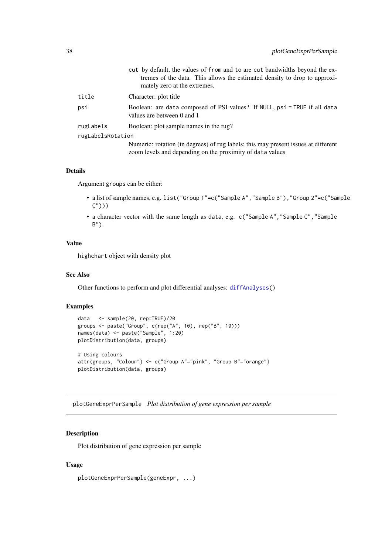<span id="page-37-0"></span>

|                   | cut by default, the values of from and to are cut bandwidths beyond the ex-<br>tremes of the data. This allows the estimated density to drop to approxi-<br>mately zero at the extremes. |
|-------------------|------------------------------------------------------------------------------------------------------------------------------------------------------------------------------------------|
| title             | Character: plot title                                                                                                                                                                    |
| psi               | Boolean: are data composed of PSI values? If NULL, psi = TRUE if all data<br>values are between 0 and 1                                                                                  |
| rugLabels         | Boolean: plot sample names in the rug?                                                                                                                                                   |
| rugLabelsRotation |                                                                                                                                                                                          |
|                   | Numeric: rotation (in degrees) of rug labels; this may present issues at different<br>zoom levels and depending on the proximity of data values                                          |

# Details

Argument groups can be either:

- a list of sample names, e.g. list("Group 1"=c("Sample A","Sample B"),"Group 2"=c("Sample  $($ ")))
- a character vector with the same length as data, e.g. c("Sample A","Sample C","Sample B").

# Value

highchart object with density plot

#### See Also

Other functions to perform and plot differential analyses: [diffAnalyses\(](#page-8-1))

# Examples

```
data <- sample(20, rep=TRUE)/20
groups <- paste("Group", c(rep("A", 10), rep("B", 10)))
names(data) <- paste("Sample", 1:20)
plotDistribution(data, groups)
# Using colours
attr(groups, "Colour") <- c("Group A"="pink", "Group B"="orange")
plotDistribution(data, groups)
```
<span id="page-37-1"></span>plotGeneExprPerSample *Plot distribution of gene expression per sample*

# Description

Plot distribution of gene expression per sample

```
plotGeneExprPerSample(geneExpr, ...)
```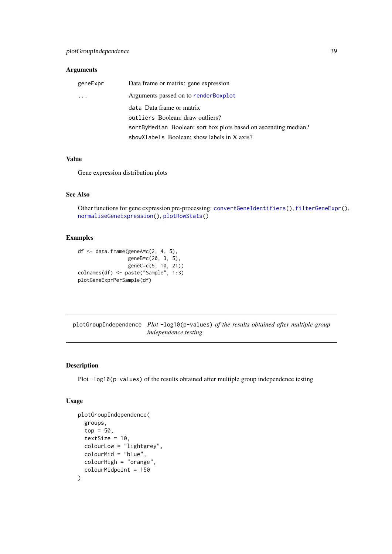#### <span id="page-38-0"></span>Arguments

| geneExpr | Data frame or matrix: gene expression                           |
|----------|-----------------------------------------------------------------|
| $\cdots$ | Arguments passed on to render Boxplot                           |
|          | data Data frame or matrix                                       |
|          | outliers Boolean: draw outliers?                                |
|          | sortByMedian Boolean: sort box plots based on ascending median? |
|          | showXlabels Boolean: show labels in X axis?                     |

#### Value

Gene expression distribution plots

# See Also

Other functions for gene expression pre-processing: [convertGeneIdentifiers\(](#page-5-1)), [filterGeneExpr\(](#page-10-1)), [normaliseGeneExpression\(](#page-27-1)), [plotRowStats\(](#page-42-1))

# Examples

df  $\leq$  data.frame(geneA= $c(2, 4, 5)$ , geneB=c(20, 3, 5), geneC=c(5, 10, 21)) colnames(df) <- paste("Sample", 1:3) plotGeneExprPerSample(df)

<span id="page-38-1"></span>plotGroupIndependence *Plot* -log10(p-values) *of the results obtained after multiple group independence testing*

#### Description

Plot -log10(p-values) of the results obtained after multiple group independence testing

```
plotGroupIndependence(
  groups,
  top = 50,
  textSize = 10,
  colourLow = "lightgrey",
  colourMid = "blue",
  colourHigh = "orange",
  colourMidpoint = 150
)
```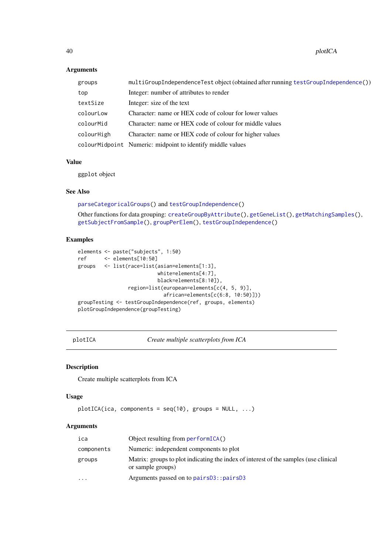40 plotICA

# Arguments

| groups     | multiGroupIndependenceTest object (obtained after running testGroupIndependence()) |
|------------|------------------------------------------------------------------------------------|
| top        | Integer: number of attributes to render                                            |
| textSize   | Integer: size of the text                                                          |
| colourLow  | Character: name or HEX code of colour for lower values                             |
| colourMid  | Character: name or HEX code of colour for middle values                            |
| colourHigh | Character: name or HEX code of colour for higher values                            |
|            | colourMidpoint Numeric: midpoint to identify middle values                         |

# Value

ggplot object

# See Also

[parseCategoricalGroups\(](#page-29-1)) and [testGroupIndependence\(](#page-59-1))

Other functions for data grouping: [createGroupByAttribute\(](#page-7-1)), [getGeneList\(](#page-14-1)), [getMatchingSamples\(](#page-16-1)), [getSubjectFromSample\(](#page-18-1)), [groupPerElem\(](#page-20-1)), [testGroupIndependence\(](#page-59-1))

#### Examples

```
elements <- paste("subjects", 1:50)
ref <- elements[10:50]
groups <- list(race=list(asian=elements[1:3],
                          white=elements[4:7],
                          black=elements[8:10]),
                region=list(european=elements[c(4, 5, 9)],
                            african=elements[c(6:8, 10:50)]))
groupTesting <- testGroupIndependence(ref, groups, elements)
plotGroupIndependence(groupTesting)
```
<span id="page-39-1"></span>plotICA *Create multiple scatterplots from ICA*

#### Description

Create multiple scatterplots from ICA

#### Usage

```
plotICA(ica, components = seq(10), groups = NULL, ...)
```
#### Arguments

| ica        | Object resulting from $performICA()$                                                                      |
|------------|-----------------------------------------------------------------------------------------------------------|
| components | Numeric: independent components to plot                                                                   |
| groups     | Matrix: groups to plot indicating the index of interest of the samples (use clinical<br>or sample groups) |
| $\cdots$   | Arguments passed on to pairs D3:: pairs D3                                                                |
|            |                                                                                                           |

<span id="page-39-0"></span>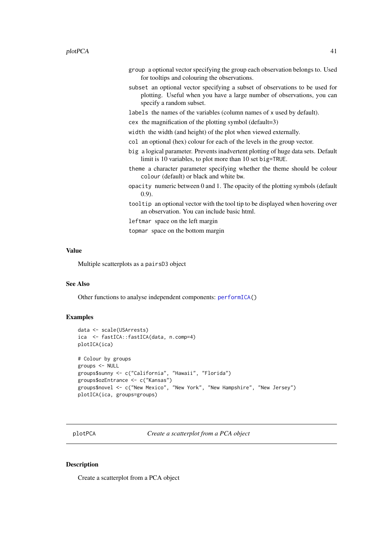- <span id="page-40-0"></span>group a optional vector specifying the group each observation belongs to. Used for tooltips and colouring the observations.
- subset an optional vector specifying a subset of observations to be used for plotting. Useful when you have a large number of observations, you can specify a random subset.
- labels the names of the variables (column names of x used by default).
- cex the magnification of the plotting symbol (default=3)
- width the width (and height) of the plot when viewed externally.
- col an optional (hex) colour for each of the levels in the group vector.
- big a logical parameter. Prevents inadvertent plotting of huge data sets. Default limit is 10 variables, to plot more than 10 set big=TRUE.
- theme a character parameter specifying whether the theme should be colour colour (default) or black and white bw.
- opacity numeric between 0 and 1. The opacity of the plotting symbols (default 0.9).
- tooltip an optional vector with the tool tip to be displayed when hovering over an observation. You can include basic html.
- leftmar space on the left margin

topmar space on the bottom margin

#### Value

Multiple scatterplots as a pairsD3 object

#### See Also

Other functions to analyse independent components: [performICA\(](#page-33-1))

#### Examples

```
data <- scale(USArrests)
ica <- fastICA::fastICA(data, n.comp=4)
plotICA(ica)
# Colour by groups
groups <- NULL
groups$sunny <- c("California", "Hawaii", "Florida")
groups$ozEntrance <- c("Kansas")
groups$novel <- c("New Mexico", "New York", "New Hampshire", "New Jersey")
plotICA(ica, groups=groups)
```
<span id="page-40-1"></span>plotPCA *Create a scatterplot from a PCA object*

#### Description

Create a scatterplot from a PCA object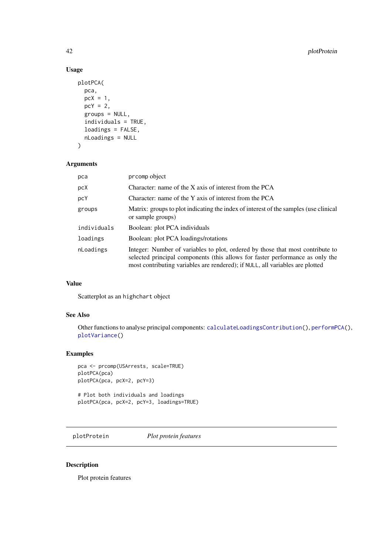# Usage

```
plotPCA(
  pca,
  pcX = 1,
  pcY = 2,
  groups = NULL,
  individuals = TRUE,
  loadings = FALSE,
  nLoadings = NULL
)
```
# Arguments

| pca         | prcomp object                                                                                                                                                                                                                                    |
|-------------|--------------------------------------------------------------------------------------------------------------------------------------------------------------------------------------------------------------------------------------------------|
| pcX         | Character: name of the $X$ axis of interest from the PCA                                                                                                                                                                                         |
| pcY         | Character: name of the Y axis of interest from the PCA                                                                                                                                                                                           |
| groups      | Matrix: groups to plot indicating the index of interest of the samples (use clinical<br>or sample groups)                                                                                                                                        |
| individuals | Boolean: plot PCA individuals                                                                                                                                                                                                                    |
| loadings    | Boolean: plot PCA loadings/rotations                                                                                                                                                                                                             |
| nLoadings   | Integer: Number of variables to plot, ordered by those that most contribute to<br>selected principal components (this allows for faster performance as only the<br>most contributing variables are rendered); if NULL, all variables are plotted |

# Value

Scatterplot as an highchart object

# See Also

Other functions to analyse principal components: [calculateLoadingsContribution\(](#page-4-1)), [performPCA\(](#page-34-1)), [plotVariance\(](#page-48-1))

# Examples

```
pca <- prcomp(USArrests, scale=TRUE)
plotPCA(pca)
plotPCA(pca, pcX=2, pcY=3)
# Plot both individuals and loadings
```
plotPCA(pca, pcX=2, pcY=3, loadings=TRUE)

<span id="page-41-1"></span>plotProtein *Plot protein features*

#### Description

Plot protein features

<span id="page-41-0"></span>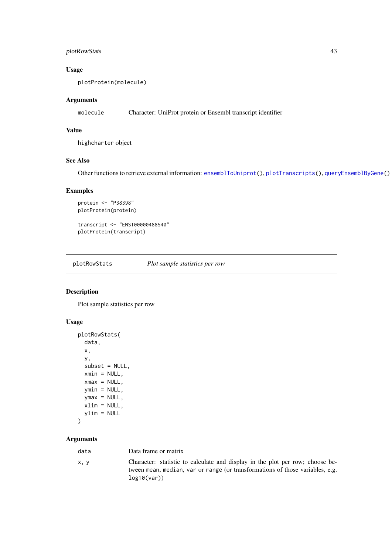#### <span id="page-42-0"></span>plotRowStats 43

# Usage

plotProtein(molecule)

# Arguments

molecule Character: UniProt protein or Ensembl transcript identifier

# Value

highcharter object

#### See Also

Other functions to retrieve external information: [ensemblToUniprot\(](#page-9-1)), [plotTranscripts\(](#page-47-1)), [queryEnsemblByGene\(](#page-55-1))

# Examples

```
protein <- "P38398"
plotProtein(protein)
```

```
transcript <- "ENST00000488540"
plotProtein(transcript)
```
<span id="page-42-1"></span>plotRowStats *Plot sample statistics per row*

# Description

Plot sample statistics per row

# Usage

```
plotRowStats(
  data,
  x,
  y,
  subset = NULL,
  xmin = NULL,
  xmax = NULL,
  ymin = NULL,
  ymax = NULL,xlim = NULL,ylim = NULL
\lambda
```
# Arguments

| data | Data frame or matrix                                                                                                                                                         |
|------|------------------------------------------------------------------------------------------------------------------------------------------------------------------------------|
| x, y | Character: statistic to calculate and display in the plot per row; choose be-<br>tween mean, median, var or range (or transformations of those variables, e.g.<br>log10(var) |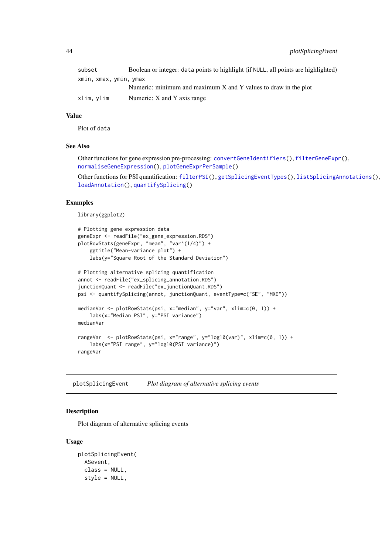<span id="page-43-0"></span>44 plotSplicingEvent

| subset                 | Boolean or integer: data points to highlight (if NULL, all points are highlighted) |
|------------------------|------------------------------------------------------------------------------------|
| xmin, xmax, ymin, ymax |                                                                                    |
|                        | Numeric: minimum and maximum $X$ and $Y$ values to draw in the plot                |
| xlim, ylim             | Numeric: X and Y axis range                                                        |

# Value

Plot of data

#### See Also

Other functions for gene expression pre-processing: [convertGeneIdentifiers\(](#page-5-1)), [filterGeneExpr\(](#page-10-1)), [normaliseGeneExpression\(](#page-27-1)), [plotGeneExprPerSample\(](#page-37-1))

Other functions for PSI quantification: [filterPSI\(](#page-12-1)), [getSplicingEventTypes\(](#page-18-2)), [listSplicingAnnotations\(](#page-22-1)), [loadAnnotation\(](#page-22-2)), [quantifySplicing\(](#page-54-1))

#### Examples

library(ggplot2)

```
# Plotting gene expression data
geneExpr <- readFile("ex_gene_expression.RDS")
plotRowStats(geneExpr, "mean", "var^(1/4)") +
    ggtitle("Mean-variance plot") +
    labs(y="Square Root of the Standard Deviation")
# Plotting alternative splicing quantification
annot <- readFile("ex_splicing_annotation.RDS")
junctionQuant <- readFile("ex_junctionQuant.RDS")
psi <- quantifySplicing(annot, junctionQuant, eventType=c("SE", "MXE"))
medianVar <- plotRowStats(psi, x="median", y="var", xlim=c(0, 1)) +
    labs(x="Median PSI", y="PSI variance")
medianVar
rangeVar <- plotRowStats(psi, x="range", y="log10(var)", xlim=c(0, 1)) +
    labs(x="PSI range", y="log10(PSI variance)")
rangeVar
```
plotSplicingEvent *Plot diagram of alternative splicing events*

#### Description

Plot diagram of alternative splicing events

```
plotSplicingEvent(
  ASevent,
  class = NULL,
  style = NULL,
```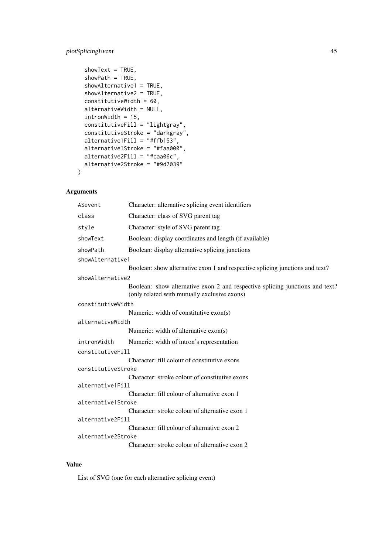# plotSplicingEvent 45

```
showText = TRUE,
  showPath = TRUE,
  showAlternative1 = TRUE,
  showAlternative2 = TRUE,
  constitutiveWidth = 60,
  alternativeWidth = NULL,
  intronWidth = 15,constitutiveFill = "lightgray",
  constitutiveStroke = "darkgray",
  alternative1Fill = "#ffb153",alternative1Stroke = "#faa000",
  alternative2Fill = "#caa06c",
  alternative2Stroke = "#9d7039"
)
```
# Arguments

|                  | ASevent            | Character: alternative splicing event identifiers                                                                            |
|------------------|--------------------|------------------------------------------------------------------------------------------------------------------------------|
|                  | class              | Character: class of SVG parent tag                                                                                           |
|                  | style              | Character: style of SVG parent tag                                                                                           |
|                  | showText           | Boolean: display coordinates and length (if available)                                                                       |
|                  | showPath           | Boolean: display alternative splicing junctions                                                                              |
|                  | showAlternative1   |                                                                                                                              |
|                  |                    | Boolean: show alternative exon 1 and respective splicing junctions and text?                                                 |
|                  | showAlternative2   |                                                                                                                              |
|                  |                    | Boolean: show alternative exon 2 and respective splicing junctions and text?<br>(only related with mutually exclusive exons) |
|                  | constitutiveWidth  |                                                                                                                              |
|                  |                    | Numeric: width of constitutive $exon(s)$                                                                                     |
|                  | alternativeWidth   |                                                                                                                              |
|                  |                    | Numeric: width of alternative exon(s)                                                                                        |
|                  | intronWidth        | Numeric: width of intron's representation                                                                                    |
| constitutiveFill |                    |                                                                                                                              |
|                  |                    | Character: fill colour of constitutive exons                                                                                 |
|                  | constitutiveStroke |                                                                                                                              |
|                  |                    | Character: stroke colour of constitutive exons                                                                               |
|                  | alternative1Fill   |                                                                                                                              |
|                  |                    | Character: fill colour of alternative exon 1                                                                                 |
|                  | alternative1Stroke |                                                                                                                              |
|                  |                    | Character: stroke colour of alternative exon 1                                                                               |
|                  | alternative2Fill   |                                                                                                                              |
|                  |                    | Character: fill colour of alternative exon 2                                                                                 |
|                  | alternative2Stroke |                                                                                                                              |
|                  |                    | Character: stroke colour of alternative exon 2                                                                               |

# Value

List of SVG (one for each alternative splicing event)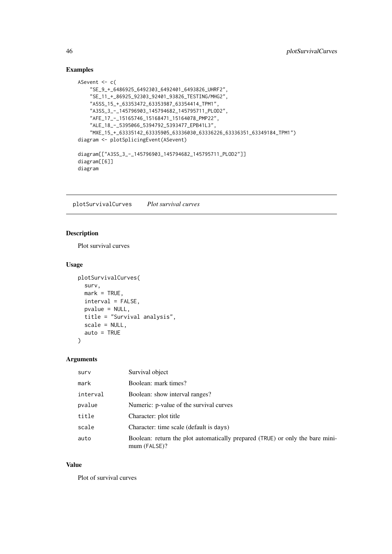# Examples

```
ASevent <- c(
    "SE_9_+_6486925_6492303_6492401_6493826_UHRF2",
    "SE_11_+_86925_92303_92401_93826_TESTING/MHG2",
    "A5SS_15_+_63353472_63353987_63354414_TPM1",
    "A3SS_3_-_145796903_145794682_145795711_PLOD2",
    "AFE_17_-_15165746_15168471_15164078_PMP22",
    "ALE_18_-_5395066_5394792_5393477_EPB41L3",
    "MXE_15_+_63335142_63335905_63336030_63336226_63336351_63349184_TPM1")
diagram <- plotSplicingEvent(ASevent)
diagram[["A3SS_3_-_145796903_145794682_145795711_PLOD2"]]
diagram[[6]]
diagram
```
<span id="page-45-1"></span>plotSurvivalCurves *Plot survival curves*

# Description

Plot survival curves

# Usage

```
plotSurvivalCurves(
  surv,
  mark = TRUE,interval = FALSE,
  pvalue = NULL,
  title = "Survival analysis",
  scale = NULL,
  auto = TRUE
)
```
#### Arguments

| surv     | Survival object                                                                               |
|----------|-----------------------------------------------------------------------------------------------|
| mark     | Boolean: mark times?                                                                          |
| interval | Boolean: show interval ranges?                                                                |
| pvalue   | Numeric: p-value of the survival curves                                                       |
| title    | Character: plot title                                                                         |
| scale    | Character: time scale (default is days)                                                       |
| auto     | Boolean: return the plot automatically prepared (TRUE) or only the bare mini-<br>mum (FALSE)? |

# Value

Plot of survival curves

<span id="page-45-0"></span>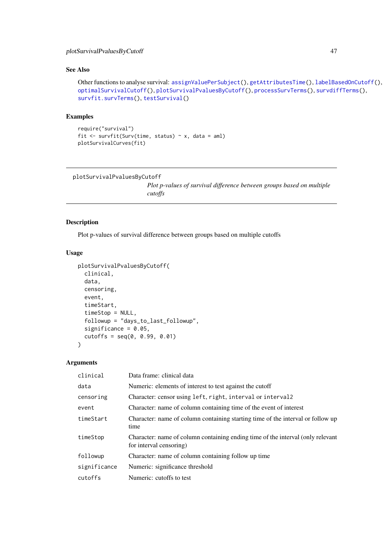#### <span id="page-46-0"></span>plotSurvivalPvaluesByCutoff 47

# See Also

```
Other functions to analyse survival: assignValuePerSubject(), getAttributesTime(), labelBasedOnCutoff(),
optimalSurvivalCutoff(), plotSurvivalPvaluesByCutoff(), processSurvTerms(), survdiffTerms(),
survfit.survTerms(), testSurvival()
```
# Examples

```
require("survival")
fit \le survfit(Surv(time, status) \sim x, data = aml)
plotSurvivalCurves(fit)
```

```
plotSurvivalPvaluesByCutoff
```
*Plot p-values of survival difference between groups based on multiple cutoffs*

#### Description

Plot p-values of survival difference between groups based on multiple cutoffs

#### Usage

```
plotSurvivalPvaluesByCutoff(
  clinical,
  data,
  censoring,
  event,
  timeStart,
  timeStop = NULL,
  followup = "days_to_last_followup",
  significance = 0.05.
  cutoffs = seq(0, 0.99, 0.01))
```
# Arguments

| clinical     | Data frame: clinical data                                                                                  |
|--------------|------------------------------------------------------------------------------------------------------------|
| data         | Numeric: elements of interest to test against the cutoff                                                   |
| censoring    | Character: censor using left, right, interval or interval 2                                                |
| event        | Character: name of column containing time of the event of interest                                         |
| timeStart    | Character: name of column containing starting time of the interval or follow up<br>time                    |
| timeStop     | Character: name of column containing ending time of the interval (only relevant<br>for interval censoring) |
| followup     | Character: name of column containing follow up time                                                        |
| significance | Numeric: significance threshold                                                                            |
| cutoffs      | Numeric: cutoffs to test                                                                                   |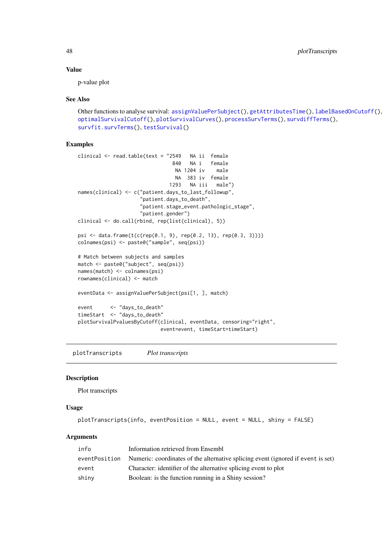<span id="page-47-0"></span>48 plotTranscripts and the set of the set of the set of the set of the set of the set of the set of the set of the set of the set of the set of the set of the set of the set of the set of the set of the set of the set of t

#### Value

p-value plot

#### See Also

```
Other functions to analyse survival: assignValuePerSubject(), getAttributesTime(), labelBasedOnCutoff(),
optimalSurvivalCutoff(), plotSurvivalCurves(), processSurvTerms(), survdiffTerms(),
survfit.survTerms(testSurvival()
```
#### Examples

```
clinical <- read.table(text = "2549 NA ii female
                               840 NA i female
                                NA 1204 iv male
                                NA 383 iv female
                              1293 NA iii male")
names(clinical) <- c("patient.days_to_last_followup",
                     "patient.days_to_death",
                    "patient.stage_event.pathologic_stage",
                    "patient.gender")
clinical <- do.call(rbind, rep(list(clinical), 5))
psi <- data.frame(t(c(rep(0.1, 9), rep(0.2, 13), rep(0.3, 3))))
colnames(psi) <- paste0("sample", seq(psi))
# Match between subjects and samples
match <- paste0("subject", seq(psi))
names(match) <- colnames(psi)
rownames(clinical) <- match
eventData <- assignValuePerSubject(psi[1, ], match)
event <- "days_to_death"
timeStart <- "days_to_death"
plotSurvivalPvaluesByCutoff(clinical, eventData, censoring="right",
                           event=event, timeStart=timeStart)
```
<span id="page-47-1"></span>plotTranscripts *Plot transcripts*

#### Description

Plot transcripts

#### Usage

plotTranscripts(info, eventPosition = NULL, event = NULL, shiny = FALSE)

### Arguments

| info          | Information retrieved from Ensembl                                               |
|---------------|----------------------------------------------------------------------------------|
| eventPosition | Numeric: coordinates of the alternative splicing event (ignored if event is set) |
| event         | Character: identifier of the alternative splicing event to plot                  |
| shinv         | Boolean: is the function running in a Shiny session?                             |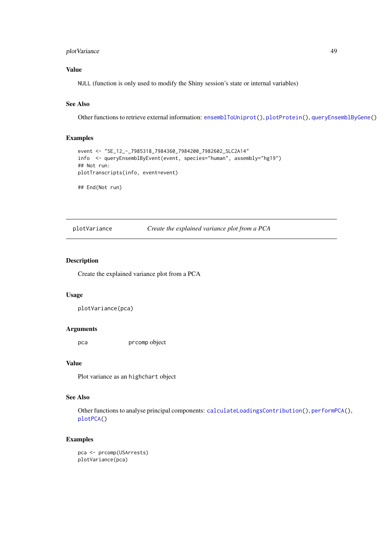#### <span id="page-48-0"></span>plotVariance 49

# Value

NULL (function is only used to modify the Shiny session's state or internal variables)

#### See Also

Other functions to retrieve external information: [ensemblToUniprot\(](#page-9-1)), [plotProtein\(](#page-41-1)), [queryEnsemblByGene\(](#page-55-1))

# Examples

```
event <- "SE_12_-_7985318_7984360_7984200_7982602_SLC2A14"
info <- queryEnsemblByEvent(event, species="human", assembly="hg19")
## Not run:
plotTranscripts(info, event=event)
## End(Not run)
```
<span id="page-48-1"></span>plotVariance *Create the explained variance plot from a PCA*

# Description

Create the explained variance plot from a PCA

### Usage

```
plotVariance(pca)
```
#### Arguments

pca prcomp object

# Value

Plot variance as an highchart object

#### See Also

Other functions to analyse principal components: [calculateLoadingsContribution\(](#page-4-1)), [performPCA\(](#page-34-1)), [plotPCA\(](#page-40-1))

```
pca <- prcomp(USArrests)
plotVariance(pca)
```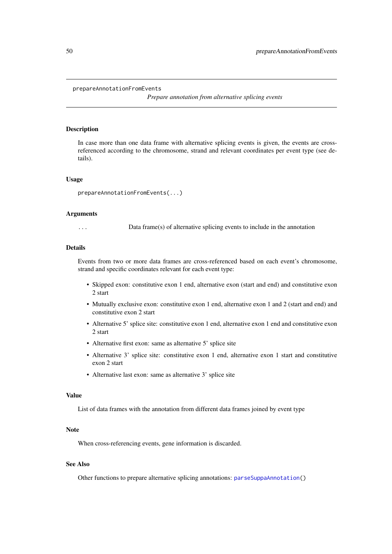# <span id="page-49-1"></span><span id="page-49-0"></span>prepareAnnotationFromEvents

*Prepare annotation from alternative splicing events*

#### Description

In case more than one data frame with alternative splicing events is given, the events are crossreferenced according to the chromosome, strand and relevant coordinates per event type (see details).

#### Usage

```
prepareAnnotationFromEvents(...)
```
#### Arguments

... Data frame(s) of alternative splicing events to include in the annotation

# Details

Events from two or more data frames are cross-referenced based on each event's chromosome, strand and specific coordinates relevant for each event type:

- Skipped exon: constitutive exon 1 end, alternative exon (start and end) and constitutive exon 2 start
- Mutually exclusive exon: constitutive exon 1 end, alternative exon 1 and 2 (start and end) and constitutive exon 2 start
- Alternative 5' splice site: constitutive exon 1 end, alternative exon 1 end and constitutive exon 2 start
- Alternative first exon: same as alternative 5' splice site
- Alternative 3' splice site: constitutive exon 1 end, alternative exon 1 start and constitutive exon 2 start
- Alternative last exon: same as alternative 3' splice site

#### Value

List of data frames with the annotation from different data frames joined by event type

#### Note

When cross-referencing events, gene information is discarded.

# See Also

Other functions to prepare alternative splicing annotations: [parseSuppaAnnotation\(](#page-30-1))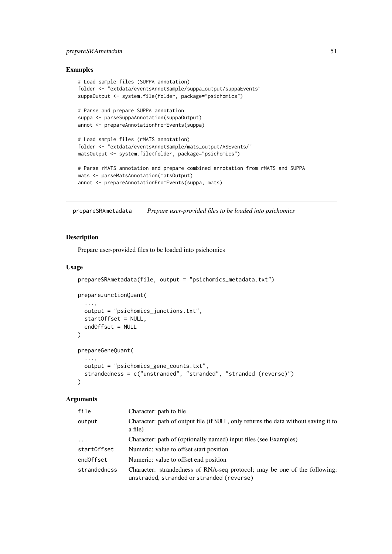#### <span id="page-50-0"></span>prepareSRAmetadata 51

#### Examples

```
# Load sample files (SUPPA annotation)
folder <- "extdata/eventsAnnotSample/suppa_output/suppaEvents"
suppaOutput <- system.file(folder, package="psichomics")
# Parse and prepare SUPPA annotation
suppa <- parseSuppaAnnotation(suppaOutput)
annot <- prepareAnnotationFromEvents(suppa)
# Load sample files (rMATS annotation)
folder <- "extdata/eventsAnnotSample/mats_output/ASEvents/"
matsOutput <- system.file(folder, package="psichomics")
# Parse rMATS annotation and prepare combined annotation from rMATS and SUPPA
mats <- parseMatsAnnotation(matsOutput)
annot <- prepareAnnotationFromEvents(suppa, mats)
```
<span id="page-50-1"></span>prepareSRAmetadata *Prepare user-provided files to be loaded into psichomics*

#### Description

Prepare user-provided files to be loaded into psichomics

#### Usage

```
prepareSRAmetadata(file, output = "psichomics_metadata.txt")
prepareJunctionQuant(
  ...,
  output = "psichomics_junctions.txt",
  startOffset = NULL,
  endOffset = NULL
\lambdaprepareGeneQuant(
  ...,
  output = "psichomics_gene_counts.txt",
  strandedness = c("unstranded", "stranded", "stranded (reverse)")
)
```
#### Arguments

| file         | Character: path to file                                                                                                |
|--------------|------------------------------------------------------------------------------------------------------------------------|
| output       | Character: path of output file (if NULL, only returns the data without saving it to<br>a file)                         |
| $\ddots$     | Character: path of (optionally named) input files (see Examples)                                                       |
| startOffset  | Numeric: value to offset start position                                                                                |
| endOffset    | Numeric: value to offset end position                                                                                  |
| strandedness | Character: strandedness of RNA-seq protocol; may be one of the following:<br>unstraded, stranded or stranded (reverse) |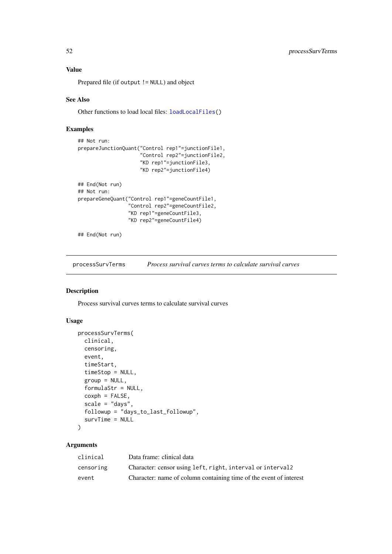#### Value

Prepared file (if output != NULL) and object

# See Also

Other functions to load local files: [loadLocalFiles\(](#page-24-1))

# Examples

```
## Not run:
prepareJunctionQuant("Control rep1"=junctionFile1,
                     "Control rep2"=junctionFile2,
                     "KD rep1"=junctionFile3,
                     "KD rep2"=junctionFile4)
## End(Not run)
## Not run:
prepareGeneQuant("Control rep1"=geneCountFile1,
                 .<br>"Control rep2"=geneCountFile2,
                 "KD rep1"=geneCountFile3,
                 "KD rep2"=geneCountFile4)
```

```
## End(Not run)
```
<span id="page-51-1"></span>processSurvTerms *Process survival curves terms to calculate survival curves*

# Description

Process survival curves terms to calculate survival curves

# Usage

```
processSurvTerms(
  clinical,
  censoring,
  event,
  timeStart,
  timeStop = NULL,
  group = NULL,
  formulaStr = NULL,
  coxph = FALSE,
  scale = "days",
  followup = "days_to_last_followup",
  survTime = NULL
\lambda
```
# Arguments

| clinical  | Data frame: clinical data                                          |
|-----------|--------------------------------------------------------------------|
| censoring | Character: censor using left, right, interval or interval 2        |
| event     | Character: name of column containing time of the event of interest |

<span id="page-51-0"></span>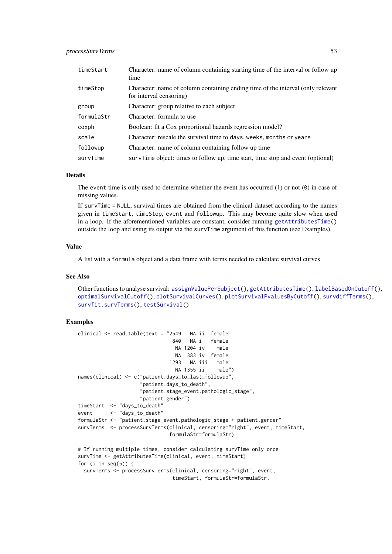<span id="page-52-0"></span>

| timeStart  | Character: name of column containing starting time of the interval or follow up<br>time                    |
|------------|------------------------------------------------------------------------------------------------------------|
| timeStop   | Character: name of column containing ending time of the interval (only relevant<br>for interval censoring) |
| group      | Character: group relative to each subject                                                                  |
| formulaStr | Character: formula to use                                                                                  |
| coxph      | Boolean: fit a Cox proportional hazards regression model?                                                  |
| scale      | Character: rescale the survival time to days, weeks, months or years                                       |
| followup   | Character: name of column containing follow up time                                                        |
| survTime   | survTime object: times to follow up, time start, time stop and event (optional)                            |

#### Details

The event time is only used to determine whether the event has occurred  $(1)$  or not  $(0)$  in case of missing values.

If survTime = NULL, survival times are obtained from the clinical dataset according to the names given in timeStart, timeStop, event and followup. This may become quite slow when used in a loop. If the aforementioned variables are constant, consider running [getAttributesTime\(](#page-13-1)) outside the loop and using its output via the survTime argument of this function (see Examples).

#### Value

A list with a formula object and a data frame with terms needed to calculate survival curves

#### See Also

Other functions to analyse survival: [assignValuePerSubject\(](#page-3-1)), [getAttributesTime\(](#page-13-1)), [labelBasedOnCutoff\(](#page-21-1)), [optimalSurvivalCutoff\(](#page-28-1)), [plotSurvivalCurves\(](#page-45-1)), [plotSurvivalPvaluesByCutoff\(](#page-46-1)), [survdiffTerms\(](#page-56-1)), [survfit.survTerms\(](#page-58-1)), [testSurvival\(](#page-60-1))

```
clinical <- read.table(text = "2549 NA ii female
                               840 NA i female
                                NA 1204 iv male
                                NA 383 iv female
                              1293 NA iii male
                                NA 1355 ii male")
names(clinical) <- c("patient.days_to_last_followup",
                    "patient.days_to_death",
                    "patient.stage_event.pathologic_stage",
                    "patient.gender")
timeStart <- "days_to_death"
event <- "days_to_death"
formulaStr <- "patient.stage_event.pathologic_stage + patient.gender"
survTerms <- processSurvTerms(clinical, censoring="right", event, timeStart,
                              formulaStr=formulaStr)
# If running multiple times, consider calculating survTime only once
survTime <- getAttributesTime(clinical, event, timeStart)
for (i in seq(5)) {
  survTerms <- processSurvTerms(clinical, censoring="right", event,
                               timeStart, formulaStr=formulaStr,
```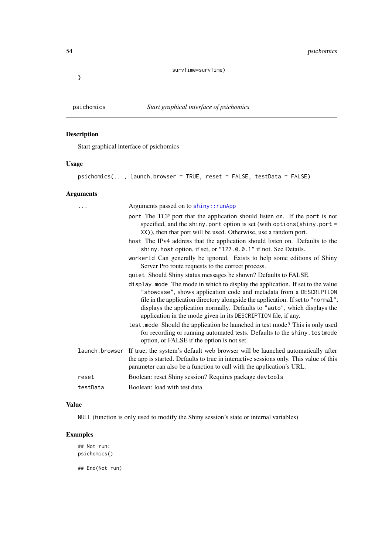#### survTime=survTime)

<span id="page-53-0"></span>}

# Description

Start graphical interface of psichomics

#### Usage

```
psichomics(..., launch.browser = TRUE, reset = FALSE, testData = FALSE)
```
# Arguments

| .        | Arguments passed on to shiny:: runApp                                                                                                                                                                                                                                                                                                                                                   |
|----------|-----------------------------------------------------------------------------------------------------------------------------------------------------------------------------------------------------------------------------------------------------------------------------------------------------------------------------------------------------------------------------------------|
|          | port The TCP port that the application should listen on. If the port is not<br>specified, and the shiny. port option is set (with options (shiny. port =<br>XX)), then that port will be used. Otherwise, use a random port.                                                                                                                                                            |
|          | host The IPv4 address that the application should listen on. Defaults to the<br>shiny. host option, if set, or "127.0.0.1" if not. See Details.                                                                                                                                                                                                                                         |
|          | workerId Can generally be ignored. Exists to help some editions of Shiny<br>Server Pro route requests to the correct process.                                                                                                                                                                                                                                                           |
|          | quiet Should Shiny status messages be shown? Defaults to FALSE.                                                                                                                                                                                                                                                                                                                         |
|          | display mode The mode in which to display the application. If set to the value<br>"showcase", shows application code and metadata from a DESCRIPTION<br>file in the application directory alongside the application. If set to "normal",<br>displays the application normally. Defaults to "auto", which displays the<br>application in the mode given in its DESCRIPTION file, if any. |
|          | test. mode Should the application be launched in test mode? This is only used<br>for recording or running automated tests. Defaults to the shiny. testmode<br>option, or FALSE if the option is not set.                                                                                                                                                                                |
|          | launch browser If true, the system's default web browser will be launched automatically after<br>the app is started. Defaults to true in interactive sessions only. This value of this<br>parameter can also be a function to call with the application's URL.                                                                                                                          |
| reset    | Boolean: reset Shiny session? Requires package devtools                                                                                                                                                                                                                                                                                                                                 |
| testData | Boolean: load with test data                                                                                                                                                                                                                                                                                                                                                            |

# Value

NULL (function is only used to modify the Shiny session's state or internal variables)

# Examples

## Not run: psichomics()

## End(Not run)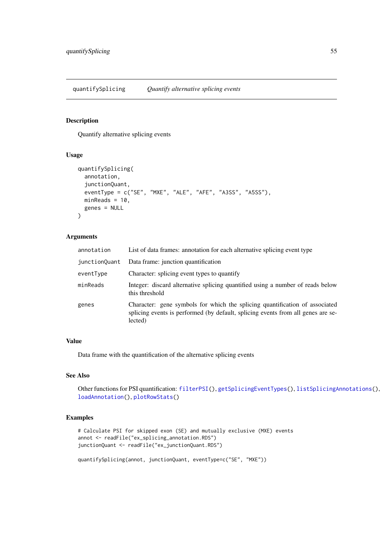<span id="page-54-1"></span><span id="page-54-0"></span>quantifySplicing *Quantify alternative splicing events*

# Description

Quantify alternative splicing events

#### Usage

```
quantifySplicing(
 annotation,
 junctionQuant,
 eventType = c("SE", "MXE", "ALE", "AFE", "A3SS", "A5SS"),
 minReads = 10,genes = NULL
)
```
# Arguments

| annotation    | List of data frames: annotation for each alternative splicing event type                                                                                                   |
|---------------|----------------------------------------------------------------------------------------------------------------------------------------------------------------------------|
| junctionQuant | Data frame: junction quantification                                                                                                                                        |
| eventType     | Character: splicing event types to quantify                                                                                                                                |
| minReads      | Integer: discard alternative splicing quantified using a number of reads below<br>this threshold                                                                           |
| genes         | Character: gene symbols for which the splicing quantification of associated<br>splicing events is performed (by default, splicing events from all genes are se-<br>lected) |

#### Value

Data frame with the quantification of the alternative splicing events

#### See Also

Other functions for PSI quantification: [filterPSI\(](#page-12-1)), [getSplicingEventTypes\(](#page-18-2)), [listSplicingAnnotations\(](#page-22-1)), [loadAnnotation\(](#page-22-2)), [plotRowStats\(](#page-42-1))

```
# Calculate PSI for skipped exon (SE) and mutually exclusive (MXE) events
annot <- readFile("ex_splicing_annotation.RDS")
junctionQuant <- readFile("ex_junctionQuant.RDS")
```

```
quantifySplicing(annot, junctionQuant, eventType=c("SE", "MXE"))
```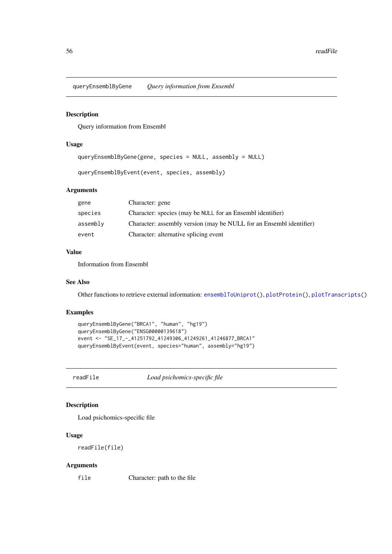<span id="page-55-1"></span><span id="page-55-0"></span>queryEnsemblByGene *Query information from Ensembl*

#### Description

Query information from Ensembl

#### Usage

```
queryEnsemblByGene(gene, species = NULL, assembly = NULL)
```
queryEnsemblByEvent(event, species, assembly)

# Arguments

| gene     | Character: gene                                                     |
|----------|---------------------------------------------------------------------|
| species  | Character: species (may be NULL for an Ensembl identifier)          |
| assembly | Character: assembly version (may be NULL for an Ensembl identifier) |
| event    | Character: alternative splicing event                               |

# Value

Information from Ensembl

#### See Also

Other functions to retrieve external information: [ensemblToUniprot\(](#page-9-1)), [plotProtein\(](#page-41-1)), [plotTranscripts\(](#page-47-1))

#### Examples

```
queryEnsemblByGene("BRCA1", "human", "hg19")
queryEnsemblByGene("ENSG00000139618")
event <- "SE_17_-_41251792_41249306_41249261_41246877_BRCA1"
queryEnsemblByEvent(event, species="human", assembly="hg19")
```
readFile *Load psichomics-specific file*

# Description

Load psichomics-specific file

# Usage

readFile(file)

#### Arguments

file Character: path to the file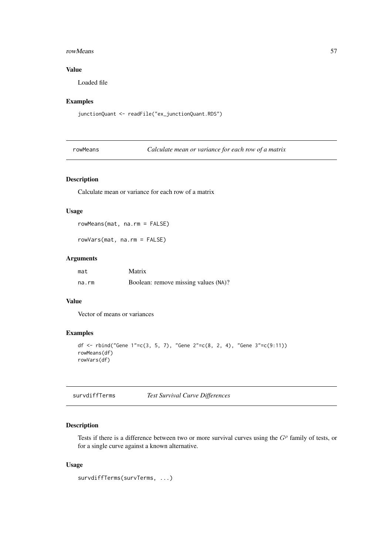#### <span id="page-56-0"></span>rowMeans 57

# Value

Loaded file

# Examples

junctionQuant <- readFile("ex\_junctionQuant.RDS")

rowMeans *Calculate mean or variance for each row of a matrix*

# Description

Calculate mean or variance for each row of a matrix

# Usage

rowMeans(mat, na.rm = FALSE)

rowVars(mat, na.rm = FALSE)

# Arguments

| mat   | Matrix                               |
|-------|--------------------------------------|
| na.rm | Boolean: remove missing values (NA)? |

# Value

Vector of means or variances

# Examples

```
df <- rbind("Gene 1"=c(3, 5, 7), "Gene 2"=c(8, 2, 4), "Gene 3"=c(9:11))
rowMeans(df)
rowVars(df)
```
<span id="page-56-1"></span>survdiffTerms *Test Survival Curve Differences*

#### Description

Tests if there is a difference between two or more survival curves using the  $G<sup>\rho</sup>$  family of tests, or for a single curve against a known alternative.

# Usage

survdiffTerms(survTerms, ...)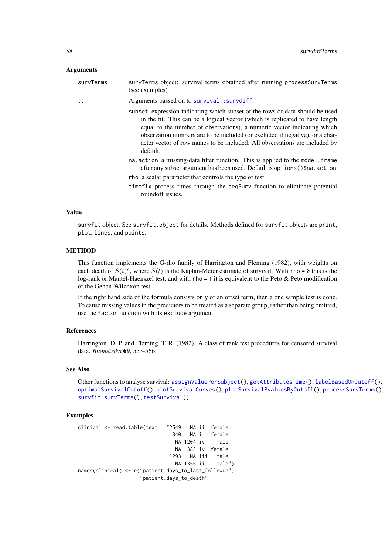#### <span id="page-57-0"></span>Arguments

survTerms survTerms object: survival terms obtained after running processSurvTerms (see examples)

... Arguments passed on to [survival::survdiff](#page-0-0)

subset expression indicating which subset of the rows of data should be used in the fit. This can be a logical vector (which is replicated to have length equal to the number of observations), a numeric vector indicating which observation numbers are to be included (or excluded if negative), or a character vector of row names to be included. All observations are included by default.

na.action a missing-data filter function. This is applied to the model.frame after any subset argument has been used. Default is options()\$na.action. rho a scalar parameter that controls the type of test.

timefix process times through the aeqSurv function to eliminate potential

roundoff issues.

# Value

survfit object. See survfit.object for details. Methods defined for survfit objects are print, plot, lines, and points.

#### **METHOD**

This function implements the G-rho family of Harrington and Fleming (1982), with weights on each death of  $S(t)$ <sup> $\rho$ </sup>, where  $S(t)$  is the Kaplan-Meier estimate of survival. With rho = 0 this is the log-rank or Mantel-Haenszel test, and with rho = 1 it is equivalent to the Peto & Peto modification of the Gehan-Wilcoxon test.

If the right hand side of the formula consists only of an offset term, then a one sample test is done. To cause missing values in the predictors to be treated as a separate group, rather than being omitted, use the factor function with its exclude argument.

#### References

Harrington, D. P. and Fleming, T. R. (1982). A class of rank test procedures for censored survival data. *Biometrika* 69, 553-566.

#### See Also

Other functions to analyse survival: [assignValuePerSubject\(](#page-3-1)), [getAttributesTime\(](#page-13-1)), [labelBasedOnCutoff\(](#page-21-1)), [optimalSurvivalCutoff\(](#page-28-1)), [plotSurvivalCurves\(](#page-45-1)), [plotSurvivalPvaluesByCutoff\(](#page-46-1)), [processSurvTerms\(](#page-51-1)), [survfit.survTerms\(](#page-58-1)), [testSurvival\(](#page-60-1))

#### Examples

clinical <- read.table(text = "2549 NA ii female 840 NA i female NA 1204 iv male NA 383 iv female 1293 NA iii male NA 1355 ii male") names(clinical) <- c("patient.days\_to\_last\_followup", "patient.days\_to\_death",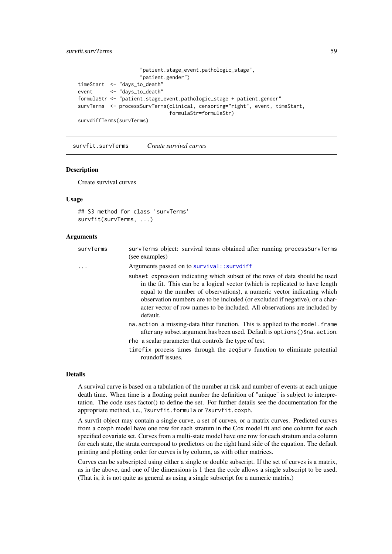#### <span id="page-58-0"></span>survfit.survTerms 59

```
"patient.stage_event.pathologic_stage",
                     "patient.gender")
timeStart <- "days_to_death"
event <- "days_to_death"
formulaStr <- "patient.stage_event.pathologic_stage + patient.gender"
survTerms <- processSurvTerms(clinical, censoring="right", event, timeStart,
                              formulaStr=formulaStr)
survdiffTerms(survTerms)
```
<span id="page-58-1"></span>survfit.survTerms *Create survival curves*

#### Description

Create survival curves

### Usage

```
## S3 method for class 'survTerms'
survfit(survTerms, ...)
```
#### Arguments

| survTerms | survTerms object: survival terms obtained after running processSurvTerms<br>(see examples)                                                                                                                                                                                                                                                                                                                        |
|-----------|-------------------------------------------------------------------------------------------------------------------------------------------------------------------------------------------------------------------------------------------------------------------------------------------------------------------------------------------------------------------------------------------------------------------|
| .         | Arguments passed on to survival:: survdiff                                                                                                                                                                                                                                                                                                                                                                        |
|           | subset expression indicating which subset of the rows of data should be used<br>in the fit. This can be a logical vector (which is replicated to have length<br>equal to the number of observations), a numeric vector indicating which<br>observation numbers are to be included (or excluded if negative), or a char-<br>acter vector of row names to be included. All observations are included by<br>default. |
|           | na. action a missing-data filter function. This is applied to the model. frame<br>after any subset argument has been used. Default is options () \$na. action.                                                                                                                                                                                                                                                    |
|           | rho a scalar parameter that controls the type of test.                                                                                                                                                                                                                                                                                                                                                            |
|           | time fix process times through the aeqSurv function to eliminate potential<br>roundoff issues.                                                                                                                                                                                                                                                                                                                    |

# Details

A survival curve is based on a tabulation of the number at risk and number of events at each unique death time. When time is a floating point number the definition of "unique" is subject to interpretation. The code uses factor() to define the set. For further details see the documentation for the appropriate method, i.e., ?survfit.formula or ?survfit.coxph.

A survfit object may contain a single curve, a set of curves, or a matrix curves. Predicted curves from a coxph model have one row for each stratum in the Cox model fit and one column for each specified covariate set. Curves from a multi-state model have one row for each stratum and a column for each state, the strata correspond to predictors on the right hand side of the equation. The default printing and plotting order for curves is by column, as with other matrices.

Curves can be subscripted using either a single or double subscript. If the set of curves is a matrix, as in the above, and one of the dimensions is 1 then the code allows a single subscript to be used. (That is, it is not quite as general as using a single subscript for a numeric matrix.)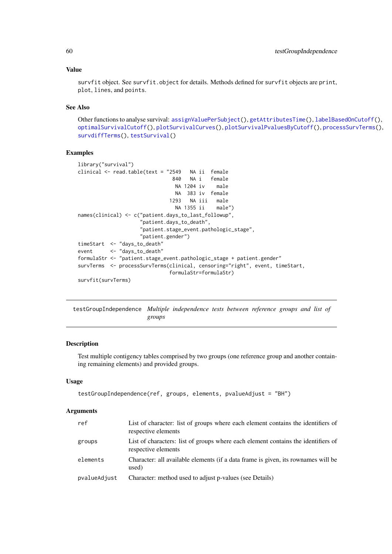#### Value

survfit object. See survfit.object for details. Methods defined for survfit objects are print, plot, lines, and points.

# See Also

Other functions to analyse survival: [assignValuePerSubject\(](#page-3-1)), [getAttributesTime\(](#page-13-1)), [labelBasedOnCutoff\(](#page-21-1)), [optimalSurvivalCutoff\(](#page-28-1)), [plotSurvivalCurves\(](#page-45-1)), [plotSurvivalPvaluesByCutoff\(](#page-46-1)), [processSurvTerms\(](#page-51-1)), [survdiffTerms\(](#page-56-1)), [testSurvival\(](#page-60-1))

#### Examples

```
library("survival")
clinical <- read.table(text = "2549 NA ii female
                              840 NA i female
                               NA 1204 iv male
                               NA 383 iv female
                              1293 NA iii male
                               NA 1355 ii male")
names(clinical) <- c("patient.days_to_last_followup",
                    "patient.days_to_death",
                    "patient.stage_event.pathologic_stage",
                    "patient.gender")
timeStart <- "days_to_death"
event <- "days_to_death"
formulaStr <- "patient.stage_event.pathologic_stage + patient.gender"
survTerms <- processSurvTerms(clinical, censoring="right", event, timeStart,
                             formulaStr=formulaStr)
survfit(survTerms)
```
<span id="page-59-1"></span>testGroupIndependence *Multiple independence tests between reference groups and list of groups*

#### Description

Test multiple contigency tables comprised by two groups (one reference group and another containing remaining elements) and provided groups.

#### Usage

```
testGroupIndependence(ref, groups, elements, pvalueAdjust = "BH")
```
#### Arguments

| ref          | List of character: list of groups where each element contains the identifiers of<br>respective elements  |
|--------------|----------------------------------------------------------------------------------------------------------|
| groups       | List of characters: list of groups where each element contains the identifiers of<br>respective elements |
| elements     | Character: all available elements (if a data frame is given, its rownames will be<br>used)               |
| pvalueAdjust | Character: method used to adjust p-values (see Details)                                                  |

<span id="page-59-0"></span>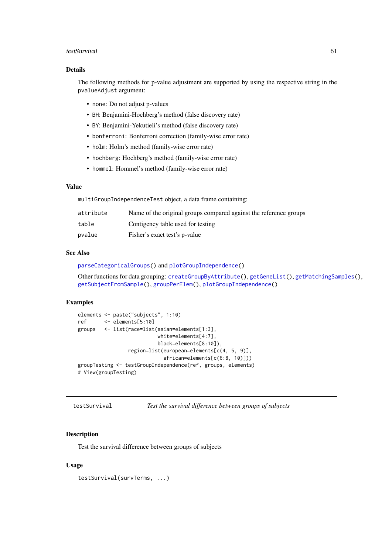#### <span id="page-60-0"></span>testSurvival 61

#### Details

The following methods for p-value adjustment are supported by using the respective string in the pvalueAdjust argument:

- none: Do not adjust p-values
- BH: Benjamini-Hochberg's method (false discovery rate)
- BY: Benjamini-Yekutieli's method (false discovery rate)
- bonferroni: Bonferroni correction (family-wise error rate)
- holm: Holm's method (family-wise error rate)
- hochberg: Hochberg's method (family-wise error rate)
- hommel: Hommel's method (family-wise error rate)

# Value

multiGroupIndependenceTest object, a data frame containing:

| attribute | Name of the original groups compared against the reference groups |
|-----------|-------------------------------------------------------------------|
| table     | Contigency table used for testing                                 |
| pvalue    | Fisher's exact test's p-value                                     |

#### See Also

[parseCategoricalGroups\(](#page-29-1)) and [plotGroupIndependence\(](#page-38-1))

Other functions for data grouping: [createGroupByAttribute\(](#page-7-1)), [getGeneList\(](#page-14-1)), [getMatchingSamples\(](#page-16-1)), [getSubjectFromSample\(](#page-18-1)), [groupPerElem\(](#page-20-1)), [plotGroupIndependence\(](#page-38-1))

#### Examples

```
elements <- paste("subjects", 1:10)
ref <- elements[5:10]
groups <- list(race=list(asian=elements[1:3],
                          white=elements[4:7],
                          black=elements[8:10]),
                 region=list(european=elements[c(4, 5, 9)],
                            african=elements[c(6:8, 10)]))
groupTesting <- testGroupIndependence(ref, groups, elements)
# View(groupTesting)
```
<span id="page-60-1"></span>testSurvival *Test the survival difference between groups of subjects*

#### Description

Test the survival difference between groups of subjects

```
testSurvival(survTerms, ...)
```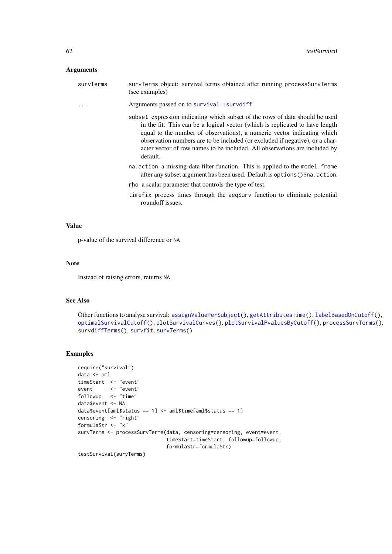#### <span id="page-61-0"></span>Arguments

| survTerms | survTerms object: survival terms obtained after running processSurvTerms<br>(see examples)                                                                                                                                                                                                                                                                                                                        |
|-----------|-------------------------------------------------------------------------------------------------------------------------------------------------------------------------------------------------------------------------------------------------------------------------------------------------------------------------------------------------------------------------------------------------------------------|
|           | Arguments passed on to survival:: survdiff                                                                                                                                                                                                                                                                                                                                                                        |
|           | subset expression indicating which subset of the rows of data should be used<br>in the fit. This can be a logical vector (which is replicated to have length<br>equal to the number of observations), a numeric vector indicating which<br>observation numbers are to be included (or excluded if negative), or a char-<br>acter vector of row names to be included. All observations are included by<br>default. |
|           | na. action a missing-data filter function. This is applied to the model. frame<br>after any subset argument has been used. Default is options () \$na. action.                                                                                                                                                                                                                                                    |
|           | rho a scalar parameter that controls the type of test.                                                                                                                                                                                                                                                                                                                                                            |
|           | time fix process times through the aeqSurv function to eliminate potential<br>roundoff issues.                                                                                                                                                                                                                                                                                                                    |

#### Value

p-value of the survival difference or NA

# Note

Instead of raising errors, returns NA

#### See Also

```
Other functions to analyse survival: assignValuePerSubject(), getAttributesTime(), labelBasedOnCutoff(),
optimalSurvivalCutoff(), plotSurvivalCurves(), plotSurvivalPvaluesByCutoff(), processSurvTerms(),
survdiffTerms(), survfit.survTerms()
```

```
require("survival")
data <- aml
timeStart <- "event"
event <- "event"
followup <- "time"
data$event <- NA
data$event[aml$status == 1] <- aml$time[aml$status == 1]
censoring <- "right"
formulaStr <- "x"
survTerms <- processSurvTerms(data, censoring=censoring, event=event,
                             timeStart=timeStart, followup=followup,
                             formulaStr=formulaStr)
testSurvival(survTerms)
```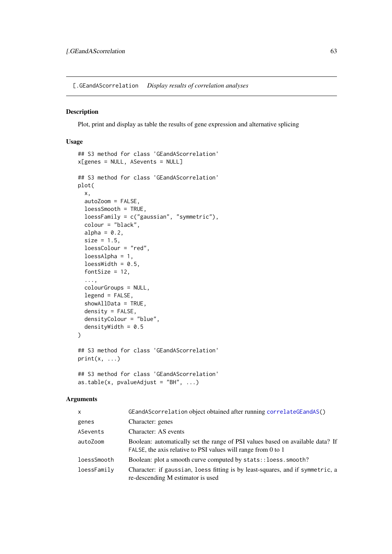<span id="page-62-1"></span><span id="page-62-0"></span>[.GEandAScorrelation *Display results of correlation analyses*

# Description

Plot, print and display as table the results of gene expression and alternative splicing

# Usage

```
## S3 method for class 'GEandAScorrelation'
x[genes = NULL, ASevents = NULL]
## S3 method for class 'GEandAScorrelation'
plot(
  x,
  autoZoom = FALSE,
  loessSmooth = TRUE,
  loessFamily = c("gaussian", "symmetric"),
  colour = "black",
  alpha = 0.2,
  size = 1.5,
  loessColour = "red",
  loessAlpha = 1,
  loessWidth = 0.5,
  fontSize = 12,
  ...,
  colourGroups = NULL,
  legend = FALSE,
  showAllData = TRUE,
  density = FALSE,densityColour = "blue",
  densityWidth = 0.5\lambda## S3 method for class 'GEandAScorrelation'
print(x, \ldots)## S3 method for class 'GEandAScorrelation'
as.table(x, pvalueAdjust = "BH", ...)
```
# Arguments

| $\mathsf{x}$ | GEandAScorrelation object obtained after running correlateGEandAS()                                                                             |
|--------------|-------------------------------------------------------------------------------------------------------------------------------------------------|
| genes        | Character: genes                                                                                                                                |
| ASevents     | Character: AS events                                                                                                                            |
| autoZoom     | Boolean: automatically set the range of PSI values based on available data? If<br>FALSE, the axis relative to PSI values will range from 0 to 1 |
| loessSmooth  | Boolean: plot a smooth curve computed by stats:: loess.smooth?                                                                                  |
| loessFamily  | Character: if gaussian, loess fitting is by least-squares, and if symmetric, a<br>re-descending M estimator is used                             |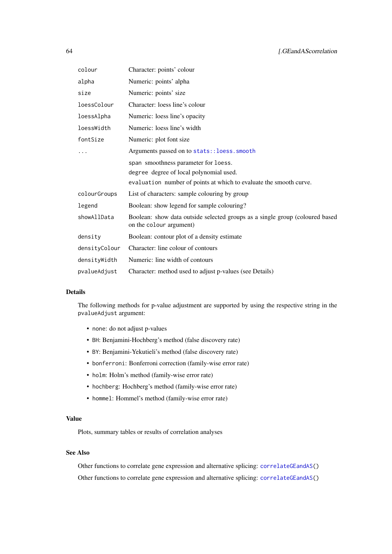<span id="page-63-0"></span>

| colour        | Character: points' colour                                                                               |
|---------------|---------------------------------------------------------------------------------------------------------|
| alpha         | Numeric: points' alpha                                                                                  |
| size          | Numeric: points' size                                                                                   |
| loessColour   | Character: loess line's colour                                                                          |
| loessAlpha    | Numeric: loess line's opacity                                                                           |
| loessWidth    | Numeric: loess line's width                                                                             |
| fontSize      | Numeric: plot font size                                                                                 |
|               | Arguments passed on to stats:: loess.smooth                                                             |
|               | span smoothness parameter for loess.                                                                    |
|               | degree degree of local polynomial used.                                                                 |
|               | evaluation number of points at which to evaluate the smooth curve.                                      |
| colourGroups  | List of characters: sample colouring by group                                                           |
| legend        | Boolean: show legend for sample colouring?                                                              |
| showAllData   | Boolean: show data outside selected groups as a single group (coloured based<br>on the colour argument) |
| density       | Boolean: contour plot of a density estimate                                                             |
| densityColour | Character: line colour of contours                                                                      |
| densityWidth  | Numeric: line width of contours                                                                         |
| pvalueAdjust  | Character: method used to adjust p-values (see Details)                                                 |

#### Details

The following methods for p-value adjustment are supported by using the respective string in the pvalueAdjust argument:

- none: do not adjust p-values
- BH: Benjamini-Hochberg's method (false discovery rate)
- BY: Benjamini-Yekutieli's method (false discovery rate)
- bonferroni: Bonferroni correction (family-wise error rate)
- holm: Holm's method (family-wise error rate)
- hochberg: Hochberg's method (family-wise error rate)
- hommel: Hommel's method (family-wise error rate)

# Value

Plots, summary tables or results of correlation analyses

# See Also

Other functions to correlate gene expression and alternative splicing: [correlateGEandAS\(](#page-6-1)) Other functions to correlate gene expression and alternative splicing: [correlateGEandAS\(](#page-6-1))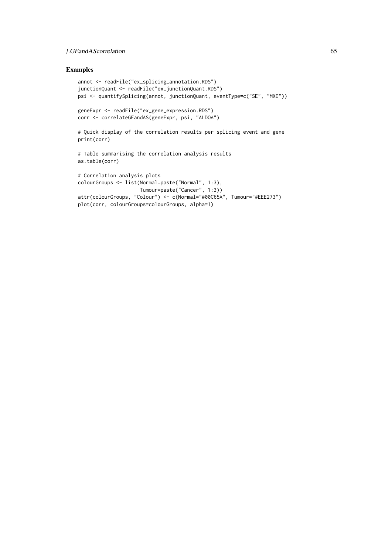#### [.GEandAScorrelation 65

```
annot <- readFile("ex_splicing_annotation.RDS")
junctionQuant <- readFile("ex_junctionQuant.RDS")
psi <- quantifySplicing(annot, junctionQuant, eventType=c("SE", "MXE"))
geneExpr <- readFile("ex_gene_expression.RDS")
corr <- correlateGEandAS(geneExpr, psi, "ALDOA")
# Quick display of the correlation results per splicing event and gene
print(corr)
# Table summarising the correlation analysis results
as.table(corr)
# Correlation analysis plots
colourGroups <- list(Normal=paste("Normal", 1:3),
                    Tumour=paste("Cancer", 1:3))
attr(colourGroups, "Colour") <- c(Normal="#00C65A", Tumour="#EEE273")
plot(corr, colourGroups=colourGroups, alpha=1)
```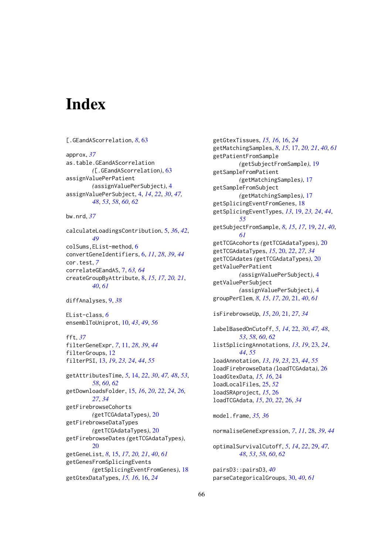# <span id="page-65-0"></span>Index

```
[.GEandAScorrelation, 8, 63
approx, 37
as.table.GEandAScorrelation
        ([.GEandAScorrelation), 63
assignValuePerPatient
        (assignValuePerSubject), 4
assignValuePerSubject, 4, 14, 22, 30, 47,
        48, 53, 58, 60, 62
bw.nrd, 37
calculateLoadingsContribution, 5, 36, 42,
        49
colSums,EList-method, 6
convertGeneIdentifiers, 6, 11, 28, 39, 44
cor.test, 7
correlateGEandAS, 7, 63, 64
createGroupByAttribute, 8, 15, 17, 20, 21,
        40, 61
diffAnalyses, 9, 38
EList-class, 6
ensemblToUniprot, 10, 43, 49, 56
fft, 37
filterGeneExpr, 7, 11, 28, 39, 44
filterGroups, 12
filterPSI, 13, 19, 23, 24, 44, 55
getAttributesTime, 5, 14, 22, 30, 47, 48, 53,
         58, 60, 62
getDownloadsFolder, 15, 16, 20, 22, 24, 26,
         27, 34
getFirebrowseCohorts
        (getTCGAdataTypes), 20
getFirebrowseDataTypes
         (getTCGAdataTypes), 20
getFirebrowseDates (getTCGAdataTypes),
         20
getGeneList, 8, 15, 17, 20, 21, 40, 61
getGenesFromSplicingEvents
         (getSplicingEventFromGenes), 18
getGtexDataTypes, 15, 16, 16, 24
```
getGtexTissues, *[15,](#page-14-0) [16](#page-15-0)*, [16,](#page-15-0) *[24](#page-23-0)* getMatchingSamples, *[8](#page-7-0)*, *[15](#page-14-0)*, [17,](#page-16-0) *[20,](#page-19-0) [21](#page-20-0)*, *[40](#page-39-0)*, *[61](#page-60-0)* getPatientFromSample *(*getSubjectFromSample*)*, [19](#page-18-0) getSampleFromPatient *(*getMatchingSamples*)*, [17](#page-16-0) getSampleFromSubject *(*getMatchingSamples*)*, [17](#page-16-0) getSplicingEventFromGenes, [18](#page-17-0) getSplicingEventTypes, *[13](#page-12-0)*, [19,](#page-18-0) *[23,](#page-22-0) [24](#page-23-0)*, *[44](#page-43-0)*, *[55](#page-54-0)* getSubjectFromSample, *[8](#page-7-0)*, *[15](#page-14-0)*, *[17](#page-16-0)*, [19,](#page-18-0) *[21](#page-20-0)*, *[40](#page-39-0)*, *[61](#page-60-0)* getTCGAcohorts *(*getTCGAdataTypes*)*, [20](#page-19-0) getTCGAdataTypes, *[15](#page-14-0)*, [20,](#page-19-0) *[22](#page-21-0)*, *[27](#page-26-0)*, *[34](#page-33-0)* getTCGAdates *(*getTCGAdataTypes*)*, [20](#page-19-0) getValuePerPatient *(*assignValuePerSubject*)*, [4](#page-3-0) getValuePerSubject *(*assignValuePerSubject*)*, [4](#page-3-0) groupPerElem, *[8](#page-7-0)*, *[15](#page-14-0)*, *[17](#page-16-0)*, *[20](#page-19-0)*, [21,](#page-20-0) *[40](#page-39-0)*, *[61](#page-60-0)* isFirebrowseUp, *[15](#page-14-0)*, *[20](#page-19-0)*, [21,](#page-20-0) *[27](#page-26-0)*, *[34](#page-33-0)* labelBasedOnCutoff, *[5](#page-4-0)*, *[14](#page-13-0)*, [22,](#page-21-0) *[30](#page-29-0)*, *[47,](#page-46-0) [48](#page-47-0)*, *[53](#page-52-0)*, *[58](#page-57-0)*, *[60](#page-59-0)*, *[62](#page-61-0)* listSplicingAnnotations, *[13](#page-12-0)*, *[19](#page-18-0)*, [23,](#page-22-0) *[24](#page-23-0)*, *[44](#page-43-0)*, *[55](#page-54-0)* loadAnnotation, *[13](#page-12-0)*, *[19](#page-18-0)*, *[23](#page-22-0)*, [23,](#page-22-0) *[44](#page-43-0)*, *[55](#page-54-0)* loadFirebrowseData *(*loadTCGAdata*)*, [26](#page-25-0) loadGtexData, *[15,](#page-14-0) [16](#page-15-0)*, [24](#page-23-0) loadLocalFiles, [25,](#page-24-0) *[52](#page-51-0)* loadSRAproject, *[15](#page-14-0)*, [26](#page-25-0) loadTCGAdata, *[15](#page-14-0)*, *[20](#page-19-0)*, *[22](#page-21-0)*, [26,](#page-25-0) *[34](#page-33-0)* model.frame, *[35,](#page-34-0) [36](#page-35-0)* normaliseGeneExpression, *[7](#page-6-0)*, *[11](#page-10-0)*, [28,](#page-27-0) *[39](#page-38-0)*, *[44](#page-43-0)* optimalSurvivalCutoff, *[5](#page-4-0)*, *[14](#page-13-0)*, *[22](#page-21-0)*, [29,](#page-28-0) *[47,](#page-46-0) [48](#page-47-0)*, *[53](#page-52-0)*, *[58](#page-57-0)*, *[60](#page-59-0)*, *[62](#page-61-0)*

pairsD3::pairsD3, *[40](#page-39-0)* parseCategoricalGroups, [30,](#page-29-0) *[40](#page-39-0)*, *[61](#page-60-0)*